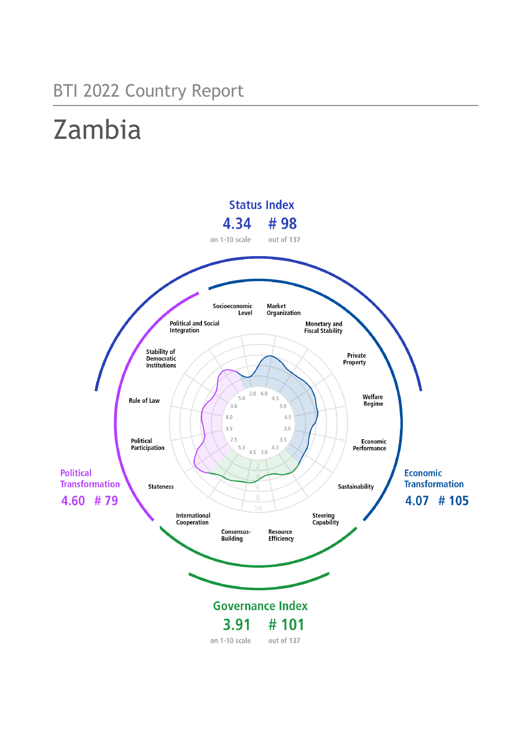## BTI 2022 Country Report

# Zambia

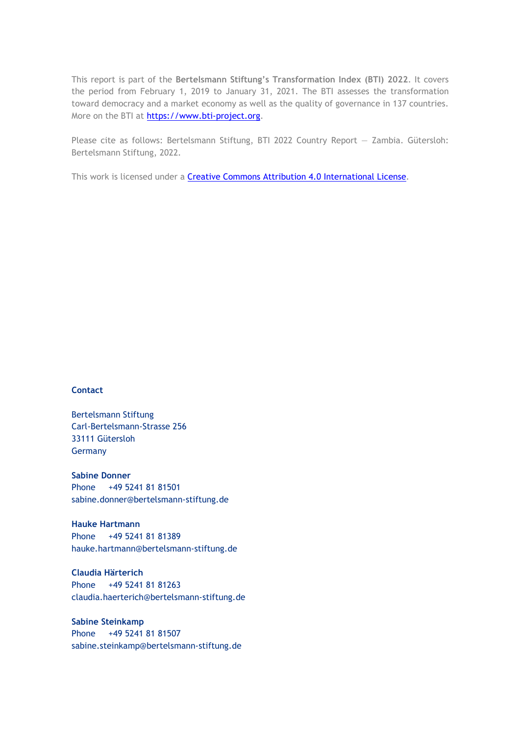This report is part of the **Bertelsmann Stiftung's Transformation Index (BTI) 2022**. It covers the period from February 1, 2019 to January 31, 2021. The BTI assesses the transformation toward democracy and a market economy as well as the quality of governance in 137 countries. More on the BTI at [https://www.bti-project.org.](https://www.bti-project.org/)

Please cite as follows: Bertelsmann Stiftung, BTI 2022 Country Report — Zambia. Gütersloh: Bertelsmann Stiftung, 2022.

This work is licensed under a **Creative Commons Attribution 4.0 International License**.

#### **Contact**

Bertelsmann Stiftung Carl-Bertelsmann-Strasse 256 33111 Gütersloh Germany

**Sabine Donner** Phone +49 5241 81 81501 sabine.donner@bertelsmann-stiftung.de

**Hauke Hartmann** Phone +49 5241 81 81389 hauke.hartmann@bertelsmann-stiftung.de

**Claudia Härterich** Phone +49 5241 81 81263 claudia.haerterich@bertelsmann-stiftung.de

#### **Sabine Steinkamp** Phone +49 5241 81 81507 sabine.steinkamp@bertelsmann-stiftung.de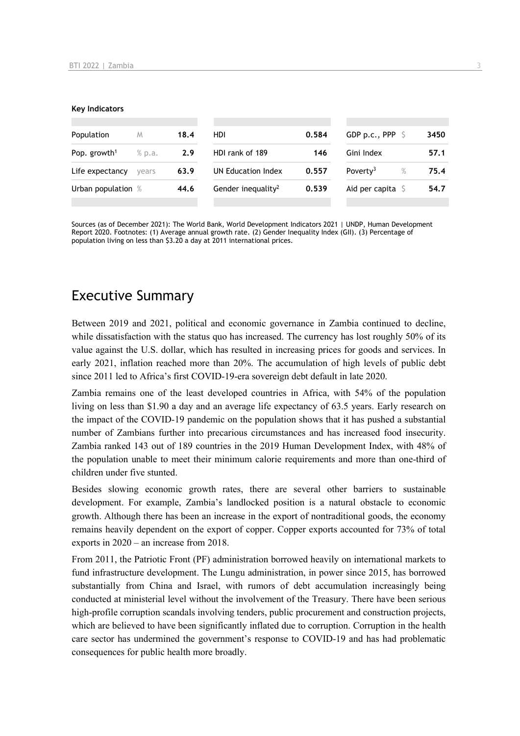#### **Key Indicators**

| Population               | M      | 18.4 | HDI                            | 0.584 | GDP p.c., PPP $\ S$          | 3450 |
|--------------------------|--------|------|--------------------------------|-------|------------------------------|------|
| Pop. growth <sup>1</sup> | % p.a. | 2.9  | HDI rank of 189                | 146   | Gini Index                   | 57.1 |
| Life expectancy          | vears  | 63.9 | UN Education Index             | 0.557 | $\%$<br>Poverty <sup>3</sup> | 75.4 |
| Urban population %       |        | 44.6 | Gender inequality <sup>2</sup> | 0.539 | Aid per capita $\sqrt{5}$    | 54.7 |
|                          |        |      |                                |       |                              |      |

Sources (as of December 2021): The World Bank, World Development Indicators 2021 | UNDP, Human Development Report 2020. Footnotes: (1) Average annual growth rate. (2) Gender Inequality Index (GII). (3) Percentage of population living on less than \$3.20 a day at 2011 international prices.

## Executive Summary

Between 2019 and 2021, political and economic governance in Zambia continued to decline, while dissatisfaction with the status quo has increased. The currency has lost roughly 50% of its value against the U.S. dollar, which has resulted in increasing prices for goods and services. In early 2021, inflation reached more than 20%. The accumulation of high levels of public debt since 2011 led to Africa's first COVID-19-era sovereign debt default in late 2020.

Zambia remains one of the least developed countries in Africa, with 54% of the population living on less than \$1.90 a day and an average life expectancy of 63.5 years. Early research on the impact of the COVID-19 pandemic on the population shows that it has pushed a substantial number of Zambians further into precarious circumstances and has increased food insecurity. Zambia ranked 143 out of 189 countries in the 2019 Human Development Index, with 48% of the population unable to meet their minimum calorie requirements and more than one-third of children under five stunted.

Besides slowing economic growth rates, there are several other barriers to sustainable development. For example, Zambia's landlocked position is a natural obstacle to economic growth. Although there has been an increase in the export of nontraditional goods, the economy remains heavily dependent on the export of copper. Copper exports accounted for 73% of total exports in 2020 – an increase from 2018.

From 2011, the Patriotic Front (PF) administration borrowed heavily on international markets to fund infrastructure development. The Lungu administration, in power since 2015, has borrowed substantially from China and Israel, with rumors of debt accumulation increasingly being conducted at ministerial level without the involvement of the Treasury. There have been serious high-profile corruption scandals involving tenders, public procurement and construction projects, which are believed to have been significantly inflated due to corruption. Corruption in the health care sector has undermined the government's response to COVID-19 and has had problematic consequences for public health more broadly.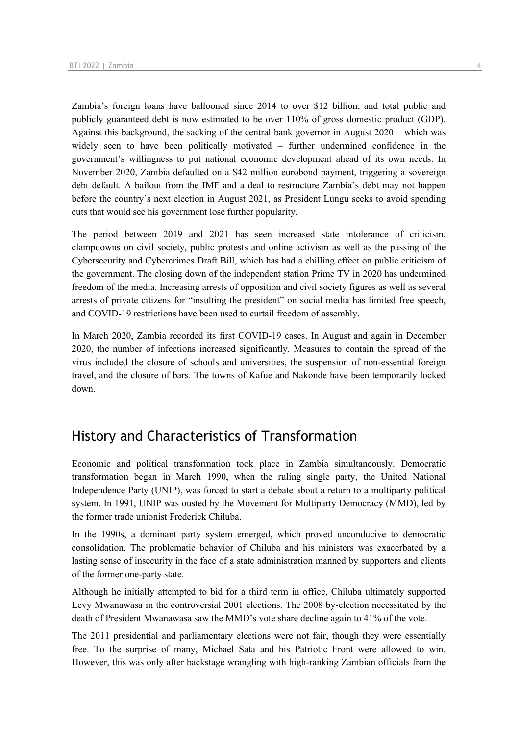Zambia's foreign loans have ballooned since 2014 to over \$12 billion, and total public and publicly guaranteed debt is now estimated to be over 110% of gross domestic product (GDP). Against this background, the sacking of the central bank governor in August 2020 – which was widely seen to have been politically motivated – further undermined confidence in the government's willingness to put national economic development ahead of its own needs. In November 2020, Zambia defaulted on a \$42 million eurobond payment, triggering a sovereign debt default. A bailout from the IMF and a deal to restructure Zambia's debt may not happen before the country's next election in August 2021, as President Lungu seeks to avoid spending cuts that would see his government lose further popularity.

The period between 2019 and 2021 has seen increased state intolerance of criticism, clampdowns on civil society, public protests and online activism as well as the passing of the Cybersecurity and Cybercrimes Draft Bill, which has had a chilling effect on public criticism of the government. The closing down of the independent station Prime TV in 2020 has undermined freedom of the media. Increasing arrests of opposition and civil society figures as well as several arrests of private citizens for "insulting the president" on social media has limited free speech, and COVID-19 restrictions have been used to curtail freedom of assembly.

In March 2020, Zambia recorded its first COVID-19 cases. In August and again in December 2020, the number of infections increased significantly. Measures to contain the spread of the virus included the closure of schools and universities, the suspension of non-essential foreign travel, and the closure of bars. The towns of Kafue and Nakonde have been temporarily locked down.

## History and Characteristics of Transformation

Economic and political transformation took place in Zambia simultaneously. Democratic transformation began in March 1990, when the ruling single party, the United National Independence Party (UNIP), was forced to start a debate about a return to a multiparty political system. In 1991, UNIP was ousted by the Movement for Multiparty Democracy (MMD), led by the former trade unionist Frederick Chiluba.

In the 1990s, a dominant party system emerged, which proved unconducive to democratic consolidation. The problematic behavior of Chiluba and his ministers was exacerbated by a lasting sense of insecurity in the face of a state administration manned by supporters and clients of the former one-party state.

Although he initially attempted to bid for a third term in office, Chiluba ultimately supported Levy Mwanawasa in the controversial 2001 elections. The 2008 by-election necessitated by the death of President Mwanawasa saw the MMD's vote share decline again to 41% of the vote.

The 2011 presidential and parliamentary elections were not fair, though they were essentially free. To the surprise of many, Michael Sata and his Patriotic Front were allowed to win. However, this was only after backstage wrangling with high-ranking Zambian officials from the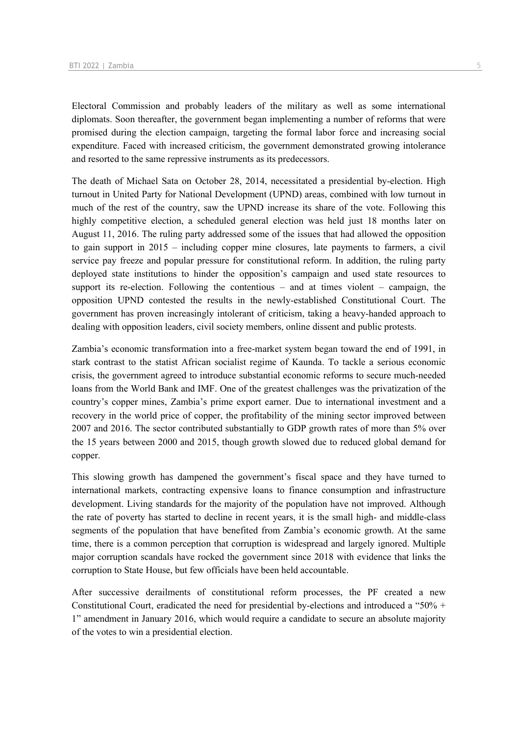Electoral Commission and probably leaders of the military as well as some international diplomats. Soon thereafter, the government began implementing a number of reforms that were promised during the election campaign, targeting the formal labor force and increasing social expenditure. Faced with increased criticism, the government demonstrated growing intolerance and resorted to the same repressive instruments as its predecessors.

The death of Michael Sata on October 28, 2014, necessitated a presidential by-election. High turnout in United Party for National Development (UPND) areas, combined with low turnout in much of the rest of the country, saw the UPND increase its share of the vote. Following this highly competitive election, a scheduled general election was held just 18 months later on August 11, 2016. The ruling party addressed some of the issues that had allowed the opposition to gain support in 2015 – including copper mine closures, late payments to farmers, a civil service pay freeze and popular pressure for constitutional reform. In addition, the ruling party deployed state institutions to hinder the opposition's campaign and used state resources to support its re-election. Following the contentious  $-$  and at times violent  $-$  campaign, the opposition UPND contested the results in the newly-established Constitutional Court. The government has proven increasingly intolerant of criticism, taking a heavy-handed approach to dealing with opposition leaders, civil society members, online dissent and public protests.

Zambia's economic transformation into a free-market system began toward the end of 1991, in stark contrast to the statist African socialist regime of Kaunda. To tackle a serious economic crisis, the government agreed to introduce substantial economic reforms to secure much-needed loans from the World Bank and IMF. One of the greatest challenges was the privatization of the country's copper mines, Zambia's prime export earner. Due to international investment and a recovery in the world price of copper, the profitability of the mining sector improved between 2007 and 2016. The sector contributed substantially to GDP growth rates of more than 5% over the 15 years between 2000 and 2015, though growth slowed due to reduced global demand for copper.

This slowing growth has dampened the government's fiscal space and they have turned to international markets, contracting expensive loans to finance consumption and infrastructure development. Living standards for the majority of the population have not improved. Although the rate of poverty has started to decline in recent years, it is the small high- and middle-class segments of the population that have benefited from Zambia's economic growth. At the same time, there is a common perception that corruption is widespread and largely ignored. Multiple major corruption scandals have rocked the government since 2018 with evidence that links the corruption to State House, but few officials have been held accountable.

After successive derailments of constitutional reform processes, the PF created a new Constitutional Court, eradicated the need for presidential by-elections and introduced a "50% + 1" amendment in January 2016, which would require a candidate to secure an absolute majority of the votes to win a presidential election.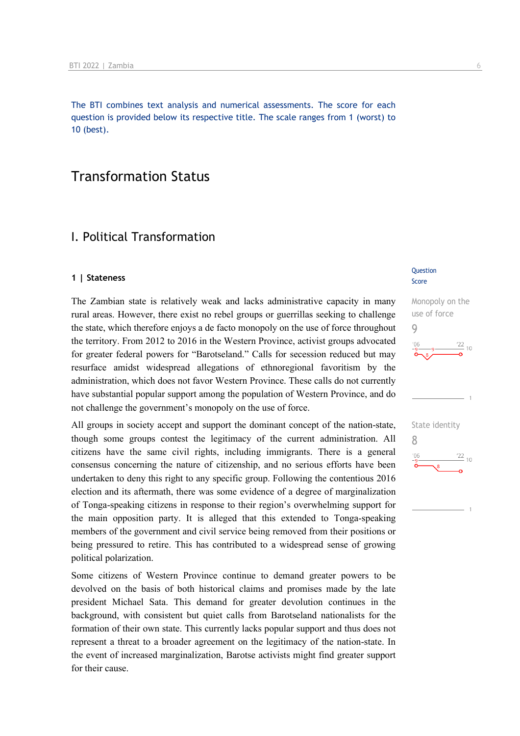The BTI combines text analysis and numerical assessments. The score for each question is provided below its respective title. The scale ranges from 1 (worst) to 10 (best).

## Transformation Status

## I. Political Transformation

#### **1 | Stateness**

The Zambian state is relatively weak and lacks administrative capacity in many rural areas. However, there exist no rebel groups or guerrillas seeking to challenge the state, which therefore enjoys a de facto monopoly on the use of force throughout the territory. From 2012 to 2016 in the Western Province, activist groups advocated for greater federal powers for "Barotseland." Calls for secession reduced but may resurface amidst widespread allegations of ethnoregional favoritism by the administration, which does not favor Western Province. These calls do not currently have substantial popular support among the population of Western Province, and do not challenge the government's monopoly on the use of force.

All groups in society accept and support the dominant concept of the nation-state, though some groups contest the legitimacy of the current administration. All citizens have the same civil rights, including immigrants. There is a general consensus concerning the nature of citizenship, and no serious efforts have been undertaken to deny this right to any specific group. Following the contentious 2016 election and its aftermath, there was some evidence of a degree of marginalization of Tonga-speaking citizens in response to their region's overwhelming support for the main opposition party. It is alleged that this extended to Tonga-speaking members of the government and civil service being removed from their positions or being pressured to retire. This has contributed to a widespread sense of growing political polarization.

Some citizens of Western Province continue to demand greater powers to be devolved on the basis of both historical claims and promises made by the late president Michael Sata. This demand for greater devolution continues in the background, with consistent but quiet calls from Barotseland nationalists for the formation of their own state. This currently lacks popular support and thus does not represent a threat to a broader agreement on the legitimacy of the nation-state. In the event of increased marginalization, Barotse activists might find greater support for their cause.

#### **Question** Score

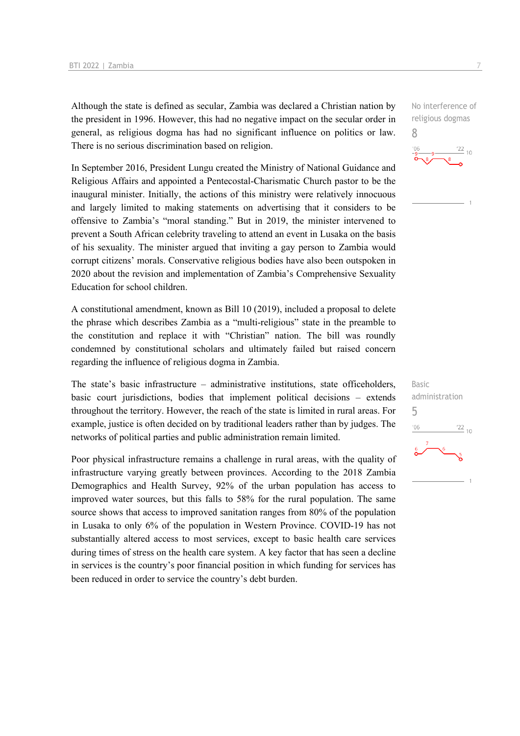Although the state is defined as secular, Zambia was declared a Christian nation by the president in 1996. However, this had no negative impact on the secular order in general, as religious dogma has had no significant influence on politics or law. There is no serious discrimination based on religion.

In September 2016, President Lungu created the Ministry of National Guidance and Religious Affairs and appointed a Pentecostal-Charismatic Church pastor to be the inaugural minister. Initially, the actions of this ministry were relatively innocuous and largely limited to making statements on advertising that it considers to be offensive to Zambia's "moral standing." But in 2019, the minister intervened to prevent a South African celebrity traveling to attend an event in Lusaka on the basis of his sexuality. The minister argued that inviting a gay person to Zambia would corrupt citizens' morals. Conservative religious bodies have also been outspoken in 2020 about the revision and implementation of Zambia's Comprehensive Sexuality Education for school children.

A constitutional amendment, known as Bill 10 (2019), included a proposal to delete the phrase which describes Zambia as a "multi-religious" state in the preamble to the constitution and replace it with "Christian" nation. The bill was roundly condemned by constitutional scholars and ultimately failed but raised concern regarding the influence of religious dogma in Zambia.

The state's basic infrastructure – administrative institutions, state officeholders, basic court jurisdictions, bodies that implement political decisions – extends throughout the territory. However, the reach of the state is limited in rural areas. For example, justice is often decided on by traditional leaders rather than by judges. The networks of political parties and public administration remain limited.

Poor physical infrastructure remains a challenge in rural areas, with the quality of infrastructure varying greatly between provinces. According to the 2018 Zambia Demographics and Health Survey, 92% of the urban population has access to improved water sources, but this falls to 58% for the rural population. The same source shows that access to improved sanitation ranges from 80% of the population in Lusaka to only 6% of the population in Western Province. COVID-19 has not substantially altered access to most services, except to basic health care services during times of stress on the health care system. A key factor that has seen a decline in services is the country's poor financial position in which funding for services has been reduced in order to service the country's debt burden.

No interference of religious dogmas 8



Basic administration 5 $-06$  $\frac{22}{10}$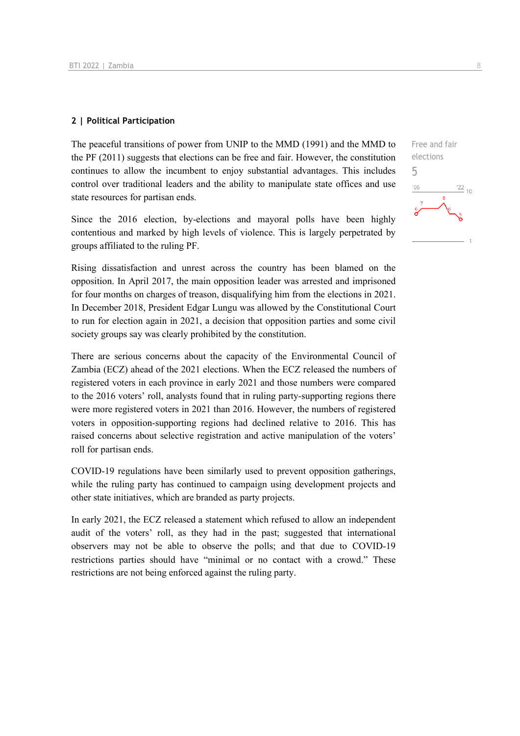#### **2 | Political Participation**

The peaceful transitions of power from UNIP to the MMD (1991) and the MMD to the PF (2011) suggests that elections can be free and fair. However, the constitution continues to allow the incumbent to enjoy substantial advantages. This includes control over traditional leaders and the ability to manipulate state offices and use state resources for partisan ends.

Since the 2016 election, by-elections and mayoral polls have been highly contentious and marked by high levels of violence. This is largely perpetrated by groups affiliated to the ruling PF.

Rising dissatisfaction and unrest across the country has been blamed on the opposition. In April 2017, the main opposition leader was arrested and imprisoned for four months on charges of treason, disqualifying him from the elections in 2021. In December 2018, President Edgar Lungu was allowed by the Constitutional Court to run for election again in 2021, a decision that opposition parties and some civil society groups say was clearly prohibited by the constitution.

There are serious concerns about the capacity of the Environmental Council of Zambia (ECZ) ahead of the 2021 elections. When the ECZ released the numbers of registered voters in each province in early 2021 and those numbers were compared to the 2016 voters' roll, analysts found that in ruling party-supporting regions there were more registered voters in 2021 than 2016. However, the numbers of registered voters in opposition-supporting regions had declined relative to 2016. This has raised concerns about selective registration and active manipulation of the voters' roll for partisan ends.

COVID-19 regulations have been similarly used to prevent opposition gatherings, while the ruling party has continued to campaign using development projects and other state initiatives, which are branded as party projects.

In early 2021, the ECZ released a statement which refused to allow an independent audit of the voters' roll, as they had in the past; suggested that international observers may not be able to observe the polls; and that due to COVID-19 restrictions parties should have "minimal or no contact with a crowd." These restrictions are not being enforced against the ruling party.

Free and fair elections 5 $\frac{22}{10}$  $-06$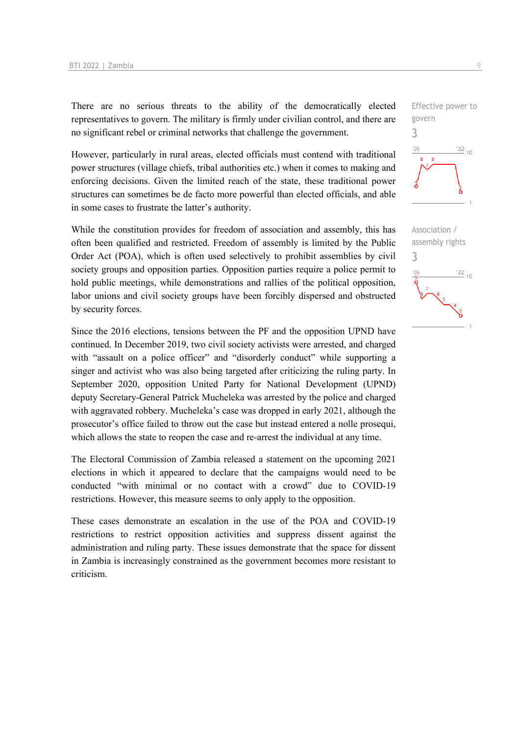There are no serious threats to the ability of the democratically elected representatives to govern. The military is firmly under civilian control, and there are no significant rebel or criminal networks that challenge the government.

However, particularly in rural areas, elected officials must contend with traditional power structures (village chiefs, tribal authorities etc.) when it comes to making and enforcing decisions. Given the limited reach of the state, these traditional power structures can sometimes be de facto more powerful than elected officials, and able in some cases to frustrate the latter's authority.

While the constitution provides for freedom of association and assembly, this has often been qualified and restricted. Freedom of assembly is limited by the Public Order Act (POA), which is often used selectively to prohibit assemblies by civil society groups and opposition parties. Opposition parties require a police permit to hold public meetings, while demonstrations and rallies of the political opposition, labor unions and civil society groups have been forcibly dispersed and obstructed by security forces.

Since the 2016 elections, tensions between the PF and the opposition UPND have continued. In December 2019, two civil society activists were arrested, and charged with "assault on a police officer" and "disorderly conduct" while supporting a singer and activist who was also being targeted after criticizing the ruling party. In September 2020, opposition United Party for National Development (UPND) deputy Secretary-General Patrick Mucheleka was arrested by the police and charged with aggravated robbery. Mucheleka's case was dropped in early 2021, although the prosecutor's office failed to throw out the case but instead entered a nolle prosequi, which allows the state to reopen the case and re-arrest the individual at any time.

The Electoral Commission of Zambia released a statement on the upcoming 2021 elections in which it appeared to declare that the campaigns would need to be conducted "with minimal or no contact with a crowd" due to COVID-19 restrictions. However, this measure seems to only apply to the opposition.

These cases demonstrate an escalation in the use of the POA and COVID-19 restrictions to restrict opposition activities and suppress dissent against the administration and ruling party. These issues demonstrate that the space for dissent in Zambia is increasingly constrained as the government becomes more resistant to criticism.



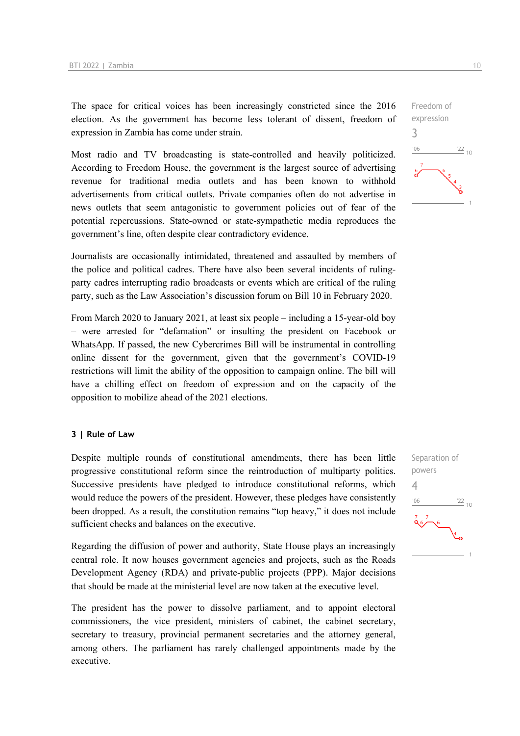The space for critical voices has been increasingly constricted since the 2016 election. As the government has become less tolerant of dissent, freedom of expression in Zambia has come under strain.

Most radio and TV broadcasting is state-controlled and heavily politicized. According to Freedom House, the government is the largest source of advertising revenue for traditional media outlets and has been known to withhold advertisements from critical outlets. Private companies often do not advertise in news outlets that seem antagonistic to government policies out of fear of the potential repercussions. State-owned or state-sympathetic media reproduces the government's line, often despite clear contradictory evidence.

Journalists are occasionally intimidated, threatened and assaulted by members of the police and political cadres. There have also been several incidents of rulingparty cadres interrupting radio broadcasts or events which are critical of the ruling party, such as the Law Association's discussion forum on Bill 10 in February 2020.

From March 2020 to January 2021, at least six people – including a 15-year-old boy – were arrested for "defamation" or insulting the president on Facebook or WhatsApp. If passed, the new Cybercrimes Bill will be instrumental in controlling online dissent for the government, given that the government's COVID-19 restrictions will limit the ability of the opposition to campaign online. The bill will have a chilling effect on freedom of expression and on the capacity of the opposition to mobilize ahead of the 2021 elections.

#### **3 | Rule of Law**

Despite multiple rounds of constitutional amendments, there has been little progressive constitutional reform since the reintroduction of multiparty politics. Successive presidents have pledged to introduce constitutional reforms, which would reduce the powers of the president. However, these pledges have consistently been dropped. As a result, the constitution remains "top heavy," it does not include sufficient checks and balances on the executive.

Regarding the diffusion of power and authority, State House plays an increasingly central role. It now houses government agencies and projects, such as the Roads Development Agency (RDA) and private-public projects (PPP). Major decisions that should be made at the ministerial level are now taken at the executive level.

The president has the power to dissolve parliament, and to appoint electoral commissioners, the vice president, ministers of cabinet, the cabinet secretary, secretary to treasury, provincial permanent secretaries and the attorney general, among others. The parliament has rarely challenged appointments made by the executive.



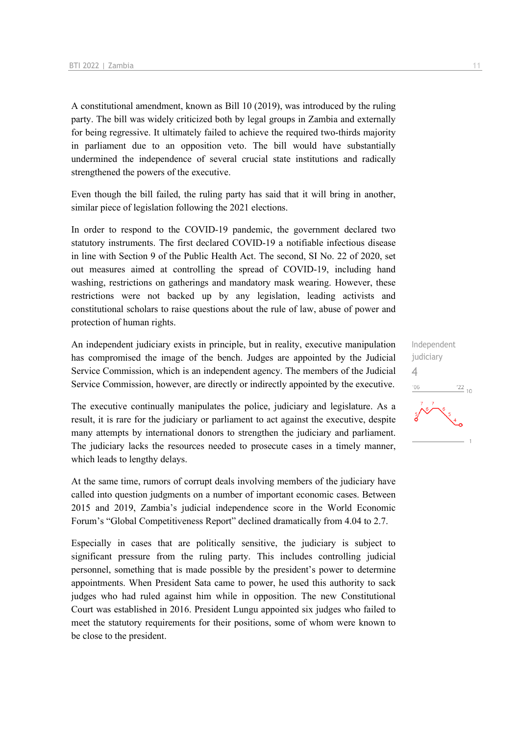A constitutional amendment, known as Bill 10 (2019), was introduced by the ruling party. The bill was widely criticized both by legal groups in Zambia and externally for being regressive. It ultimately failed to achieve the required two-thirds majority in parliament due to an opposition veto. The bill would have substantially undermined the independence of several crucial state institutions and radically strengthened the powers of the executive.

Even though the bill failed, the ruling party has said that it will bring in another, similar piece of legislation following the 2021 elections.

In order to respond to the COVID-19 pandemic, the government declared two statutory instruments. The first declared COVID-19 a notifiable infectious disease in line with Section 9 of the Public Health Act. The second, SI No. 22 of 2020, set out measures aimed at controlling the spread of COVID-19, including hand washing, restrictions on gatherings and mandatory mask wearing. However, these restrictions were not backed up by any legislation, leading activists and constitutional scholars to raise questions about the rule of law, abuse of power and protection of human rights.

An independent judiciary exists in principle, but in reality, executive manipulation has compromised the image of the bench. Judges are appointed by the Judicial Service Commission, which is an independent agency. The members of the Judicial Service Commission, however, are directly or indirectly appointed by the executive.

The executive continually manipulates the police, judiciary and legislature. As a result, it is rare for the judiciary or parliament to act against the executive, despite many attempts by international donors to strengthen the judiciary and parliament. The judiciary lacks the resources needed to prosecute cases in a timely manner, which leads to lengthy delays.

At the same time, rumors of corrupt deals involving members of the judiciary have called into question judgments on a number of important economic cases. Between 2015 and 2019, Zambia's judicial independence score in the World Economic Forum's "Global Competitiveness Report" declined dramatically from 4.04 to 2.7.

Especially in cases that are politically sensitive, the judiciary is subject to significant pressure from the ruling party. This includes controlling judicial personnel, something that is made possible by the president's power to determine appointments. When President Sata came to power, he used this authority to sack judges who had ruled against him while in opposition. The new Constitutional Court was established in 2016. President Lungu appointed six judges who failed to meet the statutory requirements for their positions, some of whom were known to be close to the president.

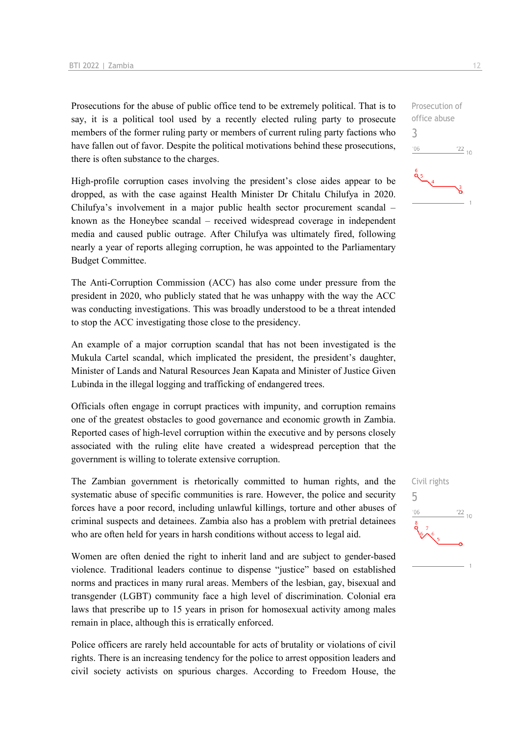Prosecutions for the abuse of public office tend to be extremely political. That is to say, it is a political tool used by a recently elected ruling party to prosecute members of the former ruling party or members of current ruling party factions who have fallen out of favor. Despite the political motivations behind these prosecutions, there is often substance to the charges.

High-profile corruption cases involving the president's close aides appear to be dropped, as with the case against Health Minister Dr Chitalu Chilufya in 2020. Chilufya's involvement in a major public health sector procurement scandal – known as the Honeybee scandal – received widespread coverage in independent media and caused public outrage. After Chilufya was ultimately fired, following nearly a year of reports alleging corruption, he was appointed to the Parliamentary Budget Committee.

The Anti-Corruption Commission (ACC) has also come under pressure from the president in 2020, who publicly stated that he was unhappy with the way the ACC was conducting investigations. This was broadly understood to be a threat intended to stop the ACC investigating those close to the presidency.

An example of a major corruption scandal that has not been investigated is the Mukula Cartel scandal, which implicated the president, the president's daughter, Minister of Lands and Natural Resources Jean Kapata and Minister of Justice Given Lubinda in the illegal logging and trafficking of endangered trees.

Officials often engage in corrupt practices with impunity, and corruption remains one of the greatest obstacles to good governance and economic growth in Zambia. Reported cases of high-level corruption within the executive and by persons closely associated with the ruling elite have created a widespread perception that the government is willing to tolerate extensive corruption.

The Zambian government is rhetorically committed to human rights, and the systematic abuse of specific communities is rare. However, the police and security forces have a poor record, including unlawful killings, torture and other abuses of criminal suspects and detainees. Zambia also has a problem with pretrial detainees who are often held for years in harsh conditions without access to legal aid.

Women are often denied the right to inherit land and are subject to gender-based violence. Traditional leaders continue to dispense "justice" based on established norms and practices in many rural areas. Members of the lesbian, gay, bisexual and transgender (LGBT) community face a high level of discrimination. Colonial era laws that prescribe up to 15 years in prison for homosexual activity among males remain in place, although this is erratically enforced.

Police officers are rarely held accountable for acts of brutality or violations of civil rights. There is an increasing tendency for the police to arrest opposition leaders and civil society activists on spurious charges. According to Freedom House, the



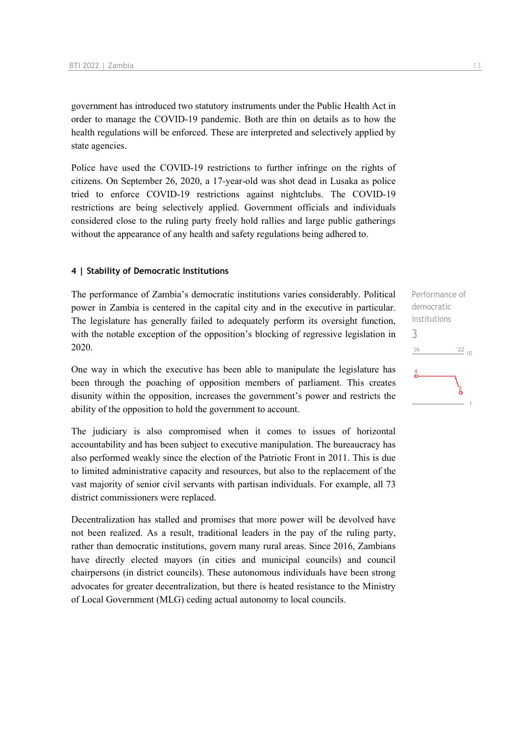government has introduced two statutory instruments under the Public Health Act in order to manage the COVID-19 pandemic. Both are thin on details as to how the health regulations will be enforced. These are interpreted and selectively applied by state agencies.

Police have used the COVID-19 restrictions to further infringe on the rights of citizens. On September 26, 2020, a 17-year-old was shot dead in Lusaka as police tried to enforce COVID-19 restrictions against nightclubs. The COVID-19 restrictions are being selectively applied. Government officials and individuals considered close to the ruling party freely hold rallies and large public gatherings without the appearance of any health and safety regulations being adhered to.

#### **4 | Stability of Democratic Institutions**

The performance of Zambia's democratic institutions varies considerably. Political power in Zambia is centered in the capital city and in the executive in particular. The legislature has generally failed to adequately perform its oversight function, with the notable exception of the opposition's blocking of regressive legislation in 2020.

One way in which the executive has been able to manipulate the legislature has been through the poaching of opposition members of parliament. This creates disunity within the opposition, increases the government's power and restricts the ability of the opposition to hold the government to account.

The judiciary is also compromised when it comes to issues of horizontal accountability and has been subject to executive manipulation. The bureaucracy has also performed weakly since the election of the Patriotic Front in 2011. This is due to limited administrative capacity and resources, but also to the replacement of the vast majority of senior civil servants with partisan individuals. For example, all 73 district commissioners were replaced.

Decentralization has stalled and promises that more power will be devolved have not been realized. As a result, traditional leaders in the pay of the ruling party, rather than democratic institutions, govern many rural areas. Since 2016, Zambians have directly elected mayors (in cities and municipal councils) and council chairpersons (in district councils). These autonomous individuals have been strong advocates for greater decentralization, but there is heated resistance to the Ministry of Local Government (MLG) ceding actual autonomy to local councils.

Performance of democratic institutions 3 $\frac{22}{10}$  $-06$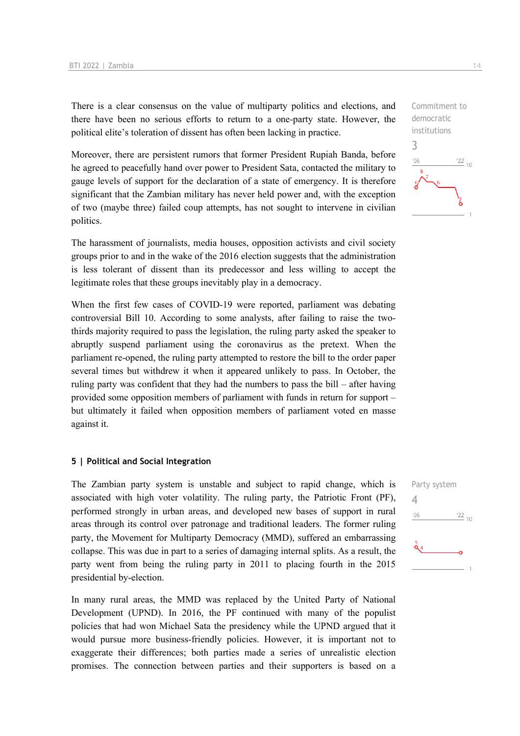There is a clear consensus on the value of multiparty politics and elections, and there have been no serious efforts to return to a one-party state. However, the political elite's toleration of dissent has often been lacking in practice.

Moreover, there are persistent rumors that former President Rupiah Banda, before he agreed to peacefully hand over power to President Sata, contacted the military to gauge levels of support for the declaration of a state of emergency. It is therefore significant that the Zambian military has never held power and, with the exception of two (maybe three) failed coup attempts, has not sought to intervene in civilian politics.

The harassment of journalists, media houses, opposition activists and civil society groups prior to and in the wake of the 2016 election suggests that the administration is less tolerant of dissent than its predecessor and less willing to accept the legitimate roles that these groups inevitably play in a democracy.

When the first few cases of COVID-19 were reported, parliament was debating controversial Bill 10. According to some analysts, after failing to raise the twothirds majority required to pass the legislation, the ruling party asked the speaker to abruptly suspend parliament using the coronavirus as the pretext. When the parliament re-opened, the ruling party attempted to restore the bill to the order paper several times but withdrew it when it appeared unlikely to pass. In October, the ruling party was confident that they had the numbers to pass the bill – after having provided some opposition members of parliament with funds in return for support – but ultimately it failed when opposition members of parliament voted en masse against it.

#### **5 | Political and Social Integration**

The Zambian party system is unstable and subject to rapid change, which is associated with high voter volatility. The ruling party, the Patriotic Front (PF), performed strongly in urban areas, and developed new bases of support in rural areas through its control over patronage and traditional leaders. The former ruling party, the Movement for Multiparty Democracy (MMD), suffered an embarrassing collapse. This was due in part to a series of damaging internal splits. As a result, the party went from being the ruling party in 2011 to placing fourth in the 2015 presidential by-election.

In many rural areas, the MMD was replaced by the United Party of National Development (UPND). In 2016, the PF continued with many of the populist policies that had won Michael Sata the presidency while the UPND argued that it would pursue more business-friendly policies. However, it is important not to exaggerate their differences; both parties made a series of unrealistic election promises. The connection between parties and their supporters is based on a



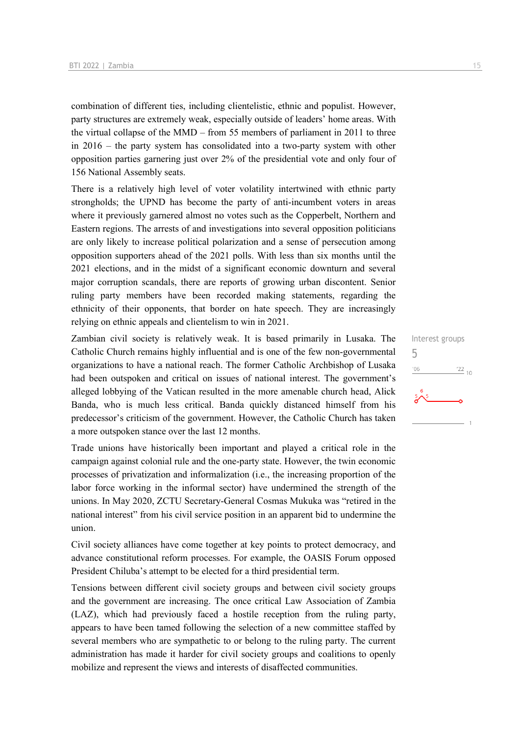combination of different ties, including clientelistic, ethnic and populist. However, party structures are extremely weak, especially outside of leaders' home areas. With the virtual collapse of the MMD – from 55 members of parliament in 2011 to three in 2016 – the party system has consolidated into a two-party system with other opposition parties garnering just over 2% of the presidential vote and only four of 156 National Assembly seats.

There is a relatively high level of voter volatility intertwined with ethnic party strongholds; the UPND has become the party of anti-incumbent voters in areas where it previously garnered almost no votes such as the Copperbelt, Northern and Eastern regions. The arrests of and investigations into several opposition politicians are only likely to increase political polarization and a sense of persecution among opposition supporters ahead of the 2021 polls. With less than six months until the 2021 elections, and in the midst of a significant economic downturn and several major corruption scandals, there are reports of growing urban discontent. Senior ruling party members have been recorded making statements, regarding the ethnicity of their opponents, that border on hate speech. They are increasingly relying on ethnic appeals and clientelism to win in 2021.

Zambian civil society is relatively weak. It is based primarily in Lusaka. The Catholic Church remains highly influential and is one of the few non-governmental organizations to have a national reach. The former Catholic Archbishop of Lusaka had been outspoken and critical on issues of national interest. The government's alleged lobbying of the Vatican resulted in the more amenable church head, Alick Banda, who is much less critical. Banda quickly distanced himself from his predecessor's criticism of the government. However, the Catholic Church has taken a more outspoken stance over the last 12 months.

Trade unions have historically been important and played a critical role in the campaign against colonial rule and the one-party state. However, the twin economic processes of privatization and informalization (i.e., the increasing proportion of the labor force working in the informal sector) have undermined the strength of the unions. In May 2020, ZCTU Secretary-General Cosmas Mukuka was "retired in the national interest" from his civil service position in an apparent bid to undermine the union.

Civil society alliances have come together at key points to protect democracy, and advance constitutional reform processes. For example, the OASIS Forum opposed President Chiluba's attempt to be elected for a third presidential term.

Tensions between different civil society groups and between civil society groups and the government are increasing. The once critical Law Association of Zambia (LAZ), which had previously faced a hostile reception from the ruling party, appears to have been tamed following the selection of a new committee staffed by several members who are sympathetic to or belong to the ruling party. The current administration has made it harder for civil society groups and coalitions to openly mobilize and represent the views and interests of disaffected communities.

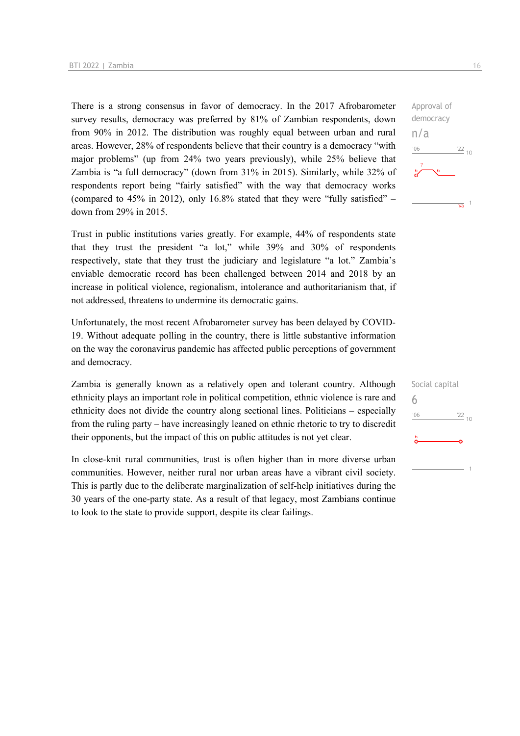There is a strong consensus in favor of democracy. In the 2017 Afrobarometer survey results, democracy was preferred by 81% of Zambian respondents, down from 90% in 2012. The distribution was roughly equal between urban and rural areas. However, 28% of respondents believe that their country is a democracy "with major problems" (up from 24% two years previously), while 25% believe that Zambia is "a full democracy" (down from 31% in 2015). Similarly, while 32% of respondents report being "fairly satisfied" with the way that democracy works (compared to  $45\%$  in 2012), only 16.8% stated that they were "fully satisfied" – down from 29% in 2015.

Trust in public institutions varies greatly. For example, 44% of respondents state that they trust the president "a lot," while 39% and 30% of respondents respectively, state that they trust the judiciary and legislature "a lot." Zambia's enviable democratic record has been challenged between 2014 and 2018 by an increase in political violence, regionalism, intolerance and authoritarianism that, if not addressed, threatens to undermine its democratic gains.

Unfortunately, the most recent Afrobarometer survey has been delayed by COVID-19. Without adequate polling in the country, there is little substantive information on the way the coronavirus pandemic has affected public perceptions of government and democracy.

Zambia is generally known as a relatively open and tolerant country. Although ethnicity plays an important role in political competition, ethnic violence is rare and ethnicity does not divide the country along sectional lines. Politicians – especially from the ruling party – have increasingly leaned on ethnic rhetoric to try to discredit their opponents, but the impact of this on public attitudes is not yet clear.

In close-knit rural communities, trust is often higher than in more diverse urban communities. However, neither rural nor urban areas have a vibrant civil society. This is partly due to the deliberate marginalization of self-help initiatives during the 30 years of the one-party state. As a result of that legacy, most Zambians continue to look to the state to provide support, despite its clear failings.



| Social capital |                 |
|----------------|-----------------|
| 6              |                 |
| '06            | $\frac{22}{10}$ |
| 6              |                 |
|                |                 |
|                |                 |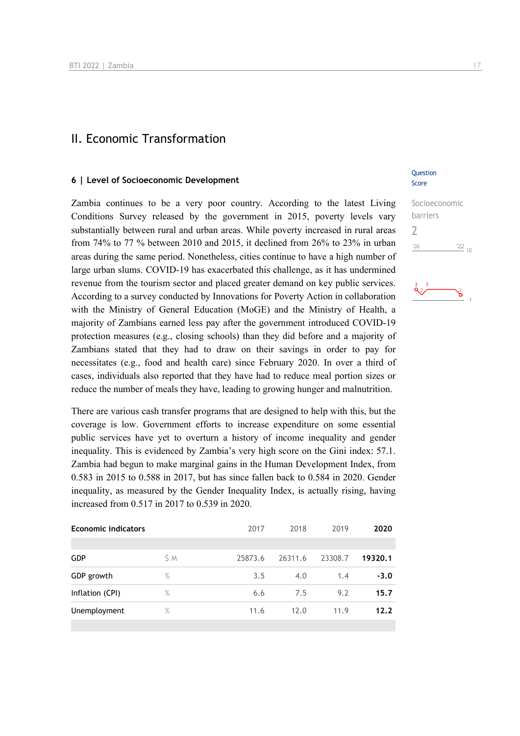### II. Economic Transformation

#### **6 | Level of Socioeconomic Development**

Zambia continues to be a very poor country. According to the latest Living Conditions Survey released by the government in 2015, poverty levels vary substantially between rural and urban areas. While poverty increased in rural areas from 74% to 77 % between 2010 and 2015, it declined from 26% to 23% in urban areas during the same period. Nonetheless, cities continue to have a high number of large urban slums. COVID-19 has exacerbated this challenge, as it has undermined revenue from the tourism sector and placed greater demand on key public services. According to a survey conducted by Innovations for Poverty Action in collaboration with the Ministry of General Education (MoGE) and the Ministry of Health, a majority of Zambians earned less pay after the government introduced COVID-19 protection measures (e.g., closing schools) than they did before and a majority of Zambians stated that they had to draw on their savings in order to pay for necessitates (e.g., food and health care) since February 2020. In over a third of cases, individuals also reported that they have had to reduce meal portion sizes or reduce the number of meals they have, leading to growing hunger and malnutrition.

There are various cash transfer programs that are designed to help with this, but the coverage is low. Government efforts to increase expenditure on some essential public services have yet to overturn a history of income inequality and gender inequality. This is evidenced by Zambia's very high score on the Gini index: 57.1. Zambia had begun to make marginal gains in the Human Development Index, from 0.583 in 2015 to 0.588 in 2017, but has since fallen back to 0.584 in 2020. Gender inequality, as measured by the Gender Inequality Index, is actually rising, having increased from 0.517 in 2017 to 0.539 in 2020.

| <b>Economic indicators</b> |      | 2017    | 2018    | 2019    | 2020    |
|----------------------------|------|---------|---------|---------|---------|
|                            |      |         |         |         |         |
| <b>GDP</b>                 | S M  | 25873.6 | 26311.6 | 23308.7 | 19320.1 |
| GDP growth                 | %    | 3.5     | 4.0     | 1.4     | $-3.0$  |
| Inflation (CPI)            | $\%$ | 6.6     | 7.5     | 9.2     | 15.7    |
| Unemployment               | %    | 11.6    | 12.0    | 11.9    | 12.2    |
|                            |      |         |         |         |         |

#### **Question** Score

| Socioeconomic |            |
|---------------|------------|
| barriers      |            |
| $\prime$      |            |
| 106           | $122_{10}$ |
|               |            |

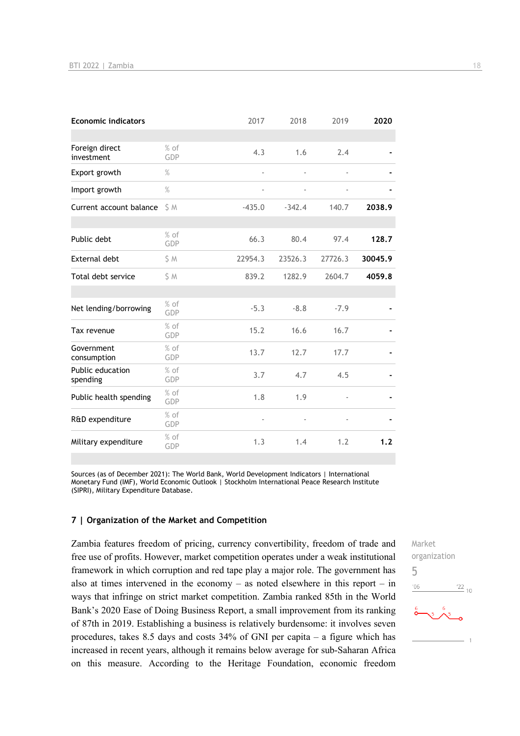| <b>Economic indicators</b>   |               | 2017                         | 2018     | 2019                         | 2020    |
|------------------------------|---------------|------------------------------|----------|------------------------------|---------|
|                              |               |                              |          |                              |         |
| Foreign direct<br>investment | $%$ of<br>GDP | 4.3                          | 1.6      | 2.4                          |         |
| Export growth                | $\%$          | $\blacksquare$               |          | $\frac{1}{2}$                |         |
| Import growth                | $\%$          | $\qquad \qquad \blacksquare$ | ä,       | $\qquad \qquad \blacksquare$ |         |
| Current account balance      | S M           | $-435.0$                     | $-342.4$ | 140.7                        | 2038.9  |
|                              |               |                              |          |                              |         |
| Public debt                  | $%$ of<br>GDP | 66.3                         | 80.4     | 97.4                         | 128.7   |
| External debt                | \$ M          | 22954.3                      | 23526.3  | 27726.3                      | 30045.9 |
| Total debt service           | S M           | 839.2                        | 1282.9   | 2604.7                       | 4059.8  |
|                              |               |                              |          |                              |         |
| Net lending/borrowing        | % of<br>GDP   | $-5.3$                       | $-8.8$   | $-7.9$                       |         |
| Tax revenue                  | $%$ of<br>GDP | 15.2                         | 16.6     | 16.7                         |         |
| Government<br>consumption    | $%$ of<br>GDP | 13.7                         | 12.7     | 17.7                         |         |
| Public education<br>spending | $%$ of<br>GDP | 3.7                          | 4.7      | 4.5                          |         |
| Public health spending       | $%$ of<br>GDP | 1.8                          | 1.9      | $\overline{\phantom{a}}$     |         |
| R&D expenditure              | $%$ of<br>GDP | $\qquad \qquad \blacksquare$ |          | $\overline{\phantom{m}}$     |         |
| Military expenditure         | $%$ of<br>GDP | 1.3                          | 1.4      | 1.2                          | 1.2     |

Sources (as of December 2021): The World Bank, World Development Indicators | International Monetary Fund (IMF), World Economic Outlook | Stockholm International Peace Research Institute (SIPRI), Military Expenditure Database.

#### **7 | Organization of the Market and Competition**

Zambia features freedom of pricing, currency convertibility, freedom of trade and free use of profits. However, market competition operates under a weak institutional framework in which corruption and red tape play a major role. The government has also at times intervened in the economy – as noted elsewhere in this report – in ways that infringe on strict market competition. Zambia ranked 85th in the World Bank's 2020 Ease of Doing Business Report, a small improvement from its ranking of 87th in 2019. Establishing a business is relatively burdensome: it involves seven procedures, takes 8.5 days and costs 34% of GNI per capita – a figure which has increased in recent years, although it remains below average for sub-Saharan Africa on this measure. According to the Heritage Foundation, economic freedom Market organization 5 $\frac{22}{10}$  $^{\prime}06$  $\sqrt{5}$   $\bigwedge^6$  $\overline{1}$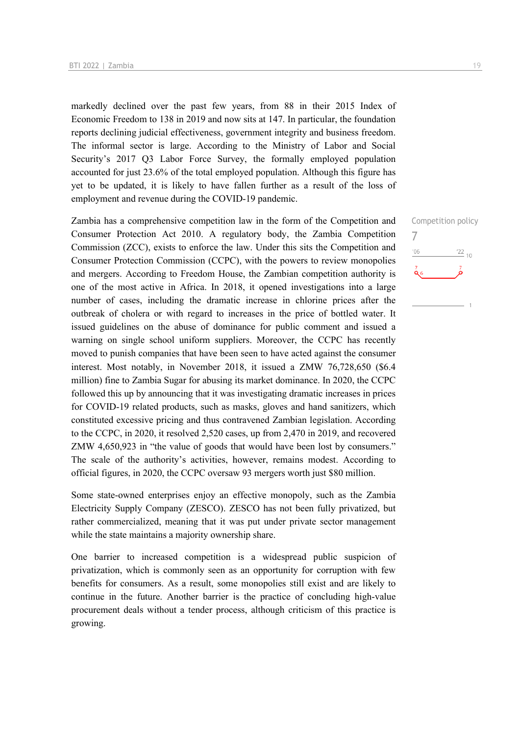markedly declined over the past few years, from 88 in their 2015 Index of Economic Freedom to 138 in 2019 and now sits at 147. In particular, the foundation reports declining judicial effectiveness, government integrity and business freedom. The informal sector is large. According to the Ministry of Labor and Social Security's 2017 Q3 Labor Force Survey, the formally employed population accounted for just 23.6% of the total employed population. Although this figure has yet to be updated, it is likely to have fallen further as a result of the loss of employment and revenue during the COVID-19 pandemic.

Zambia has a comprehensive competition law in the form of the Competition and Consumer Protection Act 2010. A regulatory body, the Zambia Competition Commission (ZCC), exists to enforce the law. Under this sits the Competition and Consumer Protection Commission (CCPC), with the powers to review monopolies and mergers. According to Freedom House, the Zambian competition authority is one of the most active in Africa. In 2018, it opened investigations into a large number of cases, including the dramatic increase in chlorine prices after the outbreak of cholera or with regard to increases in the price of bottled water. It issued guidelines on the abuse of dominance for public comment and issued a warning on single school uniform suppliers. Moreover, the CCPC has recently moved to punish companies that have been seen to have acted against the consumer interest. Most notably, in November 2018, it issued a ZMW 76,728,650 (\$6.4 million) fine to Zambia Sugar for abusing its market dominance. In 2020, the CCPC followed this up by announcing that it was investigating dramatic increases in prices for COVID-19 related products, such as masks, gloves and hand sanitizers, which constituted excessive pricing and thus contravened Zambian legislation. According to the CCPC, in 2020, it resolved 2,520 cases, up from 2,470 in 2019, and recovered ZMW 4,650,923 in "the value of goods that would have been lost by consumers." The scale of the authority's activities, however, remains modest. According to official figures, in 2020, the CCPC oversaw 93 mergers worth just \$80 million.

Some state-owned enterprises enjoy an effective monopoly, such as the Zambia Electricity Supply Company (ZESCO). ZESCO has not been fully privatized, but rather commercialized, meaning that it was put under private sector management while the state maintains a majority ownership share.

One barrier to increased competition is a widespread public suspicion of privatization, which is commonly seen as an opportunity for corruption with few benefits for consumers. As a result, some monopolies still exist and are likely to continue in the future. Another barrier is the practice of concluding high-value procurement deals without a tender process, although criticism of this practice is growing.

Competition policy 7 $-06$  $\frac{22}{10}$  $\alpha$ <sub>6</sub>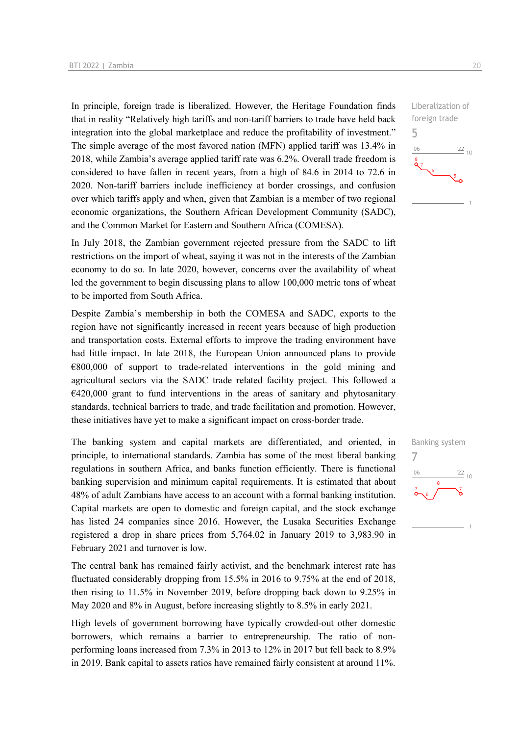In principle, foreign trade is liberalized. However, the Heritage Foundation finds that in reality "Relatively high tariffs and non-tariff barriers to trade have held back integration into the global marketplace and reduce the profitability of investment." The simple average of the most favored nation (MFN) applied tariff was 13.4% in 2018, while Zambia's average applied tariff rate was 6.2%. Overall trade freedom is considered to have fallen in recent years, from a high of 84.6 in 2014 to 72.6 in 2020. Non-tariff barriers include inefficiency at border crossings, and confusion over which tariffs apply and when, given that Zambian is a member of two regional economic organizations, the Southern African Development Community (SADC), and the Common Market for Eastern and Southern Africa (COMESA).

In July 2018, the Zambian government rejected pressure from the SADC to lift restrictions on the import of wheat, saying it was not in the interests of the Zambian economy to do so. In late 2020, however, concerns over the availability of wheat led the government to begin discussing plans to allow 100,000 metric tons of wheat to be imported from South Africa.

Despite Zambia's membership in both the COMESA and SADC, exports to the region have not significantly increased in recent years because of high production and transportation costs. External efforts to improve the trading environment have had little impact. In late 2018, the European Union announced plans to provide €800,000 of support to trade-related interventions in the gold mining and agricultural sectors via the SADC trade related facility project. This followed a  $€420,000$  grant to fund interventions in the areas of sanitary and phytosanitary standards, technical barriers to trade, and trade facilitation and promotion. However, these initiatives have yet to make a significant impact on cross-border trade.

The banking system and capital markets are differentiated, and oriented, in principle, to international standards. Zambia has some of the most liberal banking regulations in southern Africa, and banks function efficiently. There is functional banking supervision and minimum capital requirements. It is estimated that about 48% of adult Zambians have access to an account with a formal banking institution. Capital markets are open to domestic and foreign capital, and the stock exchange has listed 24 companies since 2016. However, the Lusaka Securities Exchange registered a drop in share prices from 5,764.02 in January 2019 to 3,983.90 in February 2021 and turnover is low.

The central bank has remained fairly activist, and the benchmark interest rate has fluctuated considerably dropping from 15.5% in 2016 to 9.75% at the end of 2018, then rising to 11.5% in November 2019, before dropping back down to 9.25% in May 2020 and 8% in August, before increasing slightly to 8.5% in early 2021.

High levels of government borrowing have typically crowded-out other domestic borrowers, which remains a barrier to entrepreneurship. The ratio of nonperforming loans increased from 7.3% in 2013 to 12% in 2017 but fell back to 8.9% in 2019. Bank capital to assets ratios have remained fairly consistent at around 11%.



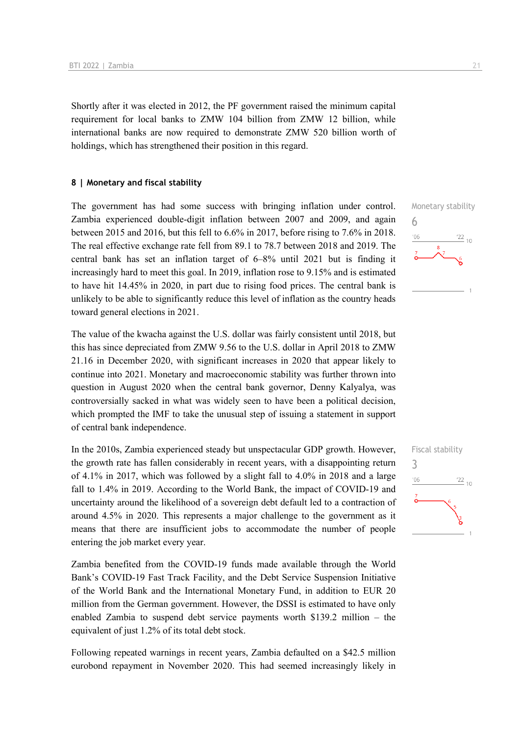Shortly after it was elected in 2012, the PF government raised the minimum capital requirement for local banks to ZMW 104 billion from ZMW 12 billion, while international banks are now required to demonstrate ZMW 520 billion worth of holdings, which has strengthened their position in this regard.

#### **8 | Monetary and fiscal stability**

The government has had some success with bringing inflation under control. Zambia experienced double-digit inflation between 2007 and 2009, and again between 2015 and 2016, but this fell to 6.6% in 2017, before rising to 7.6% in 2018. The real effective exchange rate fell from 89.1 to 78.7 between 2018 and 2019. The central bank has set an inflation target of 6–8% until 2021 but is finding it increasingly hard to meet this goal. In 2019, inflation rose to 9.15% and is estimated to have hit 14.45% in 2020, in part due to rising food prices. The central bank is unlikely to be able to significantly reduce this level of inflation as the country heads toward general elections in 2021.

The value of the kwacha against the U.S. dollar was fairly consistent until 2018, but this has since depreciated from ZMW 9.56 to the U.S. dollar in April 2018 to ZMW 21.16 in December 2020, with significant increases in 2020 that appear likely to continue into 2021. Monetary and macroeconomic stability was further thrown into question in August 2020 when the central bank governor, Denny Kalyalya, was controversially sacked in what was widely seen to have been a political decision, which prompted the IMF to take the unusual step of issuing a statement in support of central bank independence.

In the 2010s, Zambia experienced steady but unspectacular GDP growth. However, the growth rate has fallen considerably in recent years, with a disappointing return of 4.1% in 2017, which was followed by a slight fall to 4.0% in 2018 and a large fall to 1.4% in 2019. According to the World Bank, the impact of COVID-19 and uncertainty around the likelihood of a sovereign debt default led to a contraction of around 4.5% in 2020. This represents a major challenge to the government as it means that there are insufficient jobs to accommodate the number of people entering the job market every year.

Zambia benefited from the COVID-19 funds made available through the World Bank's COVID-19 Fast Track Facility, and the Debt Service Suspension Initiative of the World Bank and the International Monetary Fund, in addition to EUR 20 million from the German government. However, the DSSI is estimated to have only enabled Zambia to suspend debt service payments worth \$139.2 million – the equivalent of just 1.2% of its total debt stock.

Following repeated warnings in recent years, Zambia defaulted on a \$42.5 million eurobond repayment in November 2020. This had seemed increasingly likely in



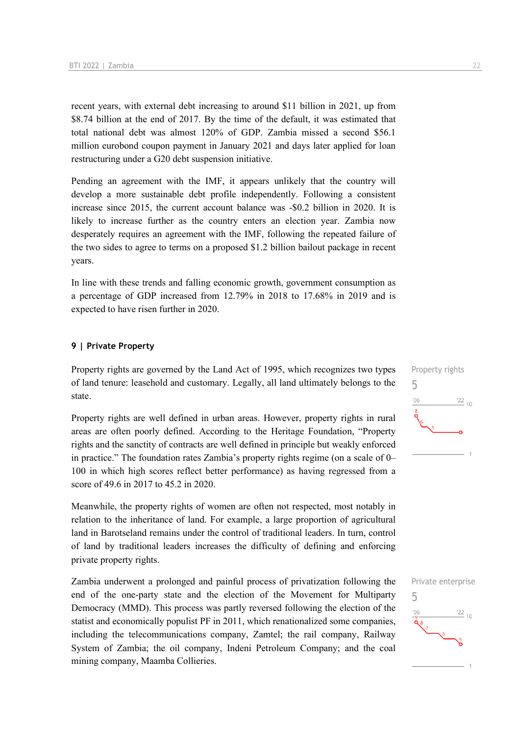recent years, with external debt increasing to around \$11 billion in 2021, up from \$8.74 billion at the end of 2017. By the time of the default, it was estimated that total national debt was almost 120% of GDP. Zambia missed a second \$56.1 million eurobond coupon payment in January 2021 and days later applied for loan restructuring under a G20 debt suspension initiative.

Pending an agreement with the IMF, it appears unlikely that the country will develop a more sustainable debt profile independently. Following a consistent increase since 2015, the current account balance was -\$0.2 billion in 2020. It is likely to increase further as the country enters an election year. Zambia now desperately requires an agreement with the IMF, following the repeated failure of the two sides to agree to terms on a proposed \$1.2 billion bailout package in recent years.

In line with these trends and falling economic growth, government consumption as a percentage of GDP increased from 12.79% in 2018 to 17.68% in 2019 and is expected to have risen further in 2020.

#### **9 | Private Property**

Property rights are governed by the Land Act of 1995, which recognizes two types of land tenure: leasehold and customary. Legally, all land ultimately belongs to the state.

Property rights are well defined in urban areas. However, property rights in rural areas are often poorly defined. According to the Heritage Foundation, "Property rights and the sanctity of contracts are well defined in principle but weakly enforced in practice." The foundation rates Zambia's property rights regime (on a scale of 0– 100 in which high scores reflect better performance) as having regressed from a score of 49.6 in 2017 to 45.2 in 2020.

Meanwhile, the property rights of women are often not respected, most notably in relation to the inheritance of land. For example, a large proportion of agricultural land in Barotseland remains under the control of traditional leaders. In turn, control of land by traditional leaders increases the difficulty of defining and enforcing private property rights.

Zambia underwent a prolonged and painful process of privatization following the end of the one-party state and the election of the Movement for Multiparty Democracy (MMD). This process was partly reversed following the election of the statist and economically populist PF in 2011, which renationalized some companies, including the telecommunications company, Zamtel; the rail company, Railway System of Zambia; the oil company, Indeni Petroleum Company; and the coal mining company, Maamba Collieries.



5 $\frac{22}{10}$  $^{\prime}$ O<sub>F</sub>

Private enterprise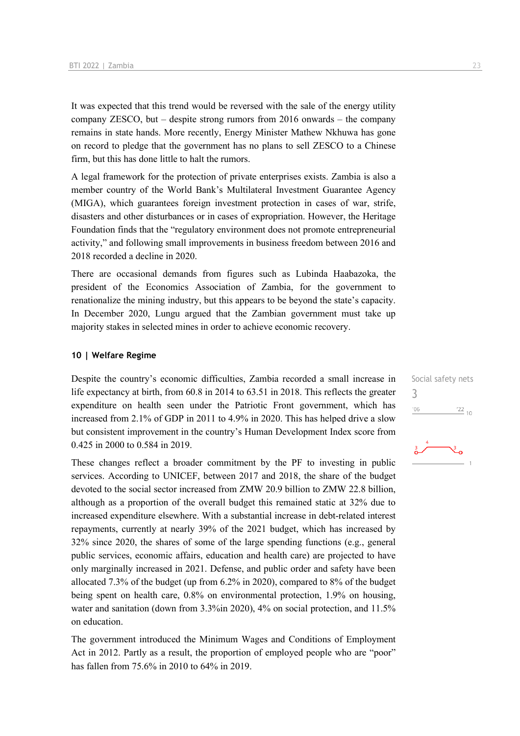It was expected that this trend would be reversed with the sale of the energy utility company ZESCO, but – despite strong rumors from 2016 onwards – the company remains in state hands. More recently, Energy Minister Mathew Nkhuwa has gone on record to pledge that the government has no plans to sell ZESCO to a Chinese firm, but this has done little to halt the rumors.

A legal framework for the protection of private enterprises exists. Zambia is also a member country of the World Bank's Multilateral Investment Guarantee Agency (MIGA), which guarantees foreign investment protection in cases of war, strife, disasters and other disturbances or in cases of expropriation. However, the Heritage Foundation finds that the "regulatory environment does not promote entrepreneurial activity," and following small improvements in business freedom between 2016 and 2018 recorded a decline in 2020.

There are occasional demands from figures such as Lubinda Haabazoka, the president of the Economics Association of Zambia, for the government to renationalize the mining industry, but this appears to be beyond the state's capacity. In December 2020, Lungu argued that the Zambian government must take up majority stakes in selected mines in order to achieve economic recovery.

#### **10 | Welfare Regime**

Despite the country's economic difficulties, Zambia recorded a small increase in life expectancy at birth, from 60.8 in 2014 to 63.51 in 2018. This reflects the greater expenditure on health seen under the Patriotic Front government, which has increased from 2.1% of GDP in 2011 to 4.9% in 2020. This has helped drive a slow but consistent improvement in the country's Human Development Index score from 0.425 in 2000 to 0.584 in 2019.

These changes reflect a broader commitment by the PF to investing in public services. According to UNICEF, between 2017 and 2018, the share of the budget devoted to the social sector increased from ZMW 20.9 billion to ZMW 22.8 billion, although as a proportion of the overall budget this remained static at 32% due to increased expenditure elsewhere. With a substantial increase in debt-related interest repayments, currently at nearly 39% of the 2021 budget, which has increased by 32% since 2020, the shares of some of the large spending functions (e.g., general public services, economic affairs, education and health care) are projected to have only marginally increased in 2021. Defense, and public order and safety have been allocated 7.3% of the budget (up from 6.2% in 2020), compared to 8% of the budget being spent on health care, 0.8% on environmental protection, 1.9% on housing, water and sanitation (down from 3.3%in 2020), 4% on social protection, and 11.5% on education.

The government introduced the Minimum Wages and Conditions of Employment Act in 2012. Partly as a result, the proportion of employed people who are "poor" has fallen from 75.6% in 2010 to 64% in 2019.

Social safety nets 3 $'06$  $\frac{22}{10}$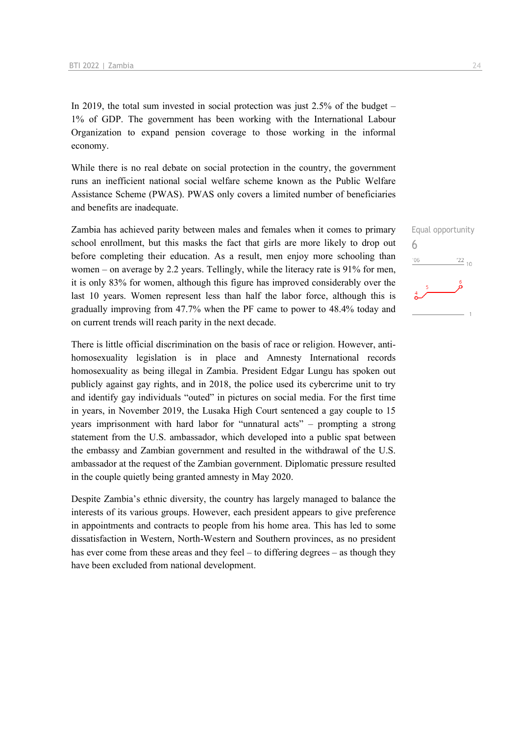In 2019, the total sum invested in social protection was just 2.5% of the budget – 1% of GDP. The government has been working with the International Labour Organization to expand pension coverage to those working in the informal economy.

While there is no real debate on social protection in the country, the government runs an inefficient national social welfare scheme known as the Public Welfare Assistance Scheme (PWAS). PWAS only covers a limited number of beneficiaries and benefits are inadequate.

Zambia has achieved parity between males and females when it comes to primary school enrollment, but this masks the fact that girls are more likely to drop out before completing their education. As a result, men enjoy more schooling than women – on average by 2.2 years. Tellingly, while the literacy rate is 91% for men, it is only 83% for women, although this figure has improved considerably over the last 10 years. Women represent less than half the labor force, although this is gradually improving from 47.7% when the PF came to power to 48.4% today and on current trends will reach parity in the next decade.

There is little official discrimination on the basis of race or religion. However, antihomosexuality legislation is in place and Amnesty International records homosexuality as being illegal in Zambia. President Edgar Lungu has spoken out publicly against gay rights, and in 2018, the police used its cybercrime unit to try and identify gay individuals "outed" in pictures on social media. For the first time in years, in November 2019, the Lusaka High Court sentenced a gay couple to 15 years imprisonment with hard labor for "unnatural acts" – prompting a strong statement from the U.S. ambassador, which developed into a public spat between the embassy and Zambian government and resulted in the withdrawal of the U.S. ambassador at the request of the Zambian government. Diplomatic pressure resulted in the couple quietly being granted amnesty in May 2020.

Despite Zambia's ethnic diversity, the country has largely managed to balance the interests of its various groups. However, each president appears to give preference in appointments and contracts to people from his home area. This has led to some dissatisfaction in Western, North-Western and Southern provinces, as no president has ever come from these areas and they feel – to differing degrees – as though they have been excluded from national development.

Equal opportunity 6 $\frac{22}{10}$  $106$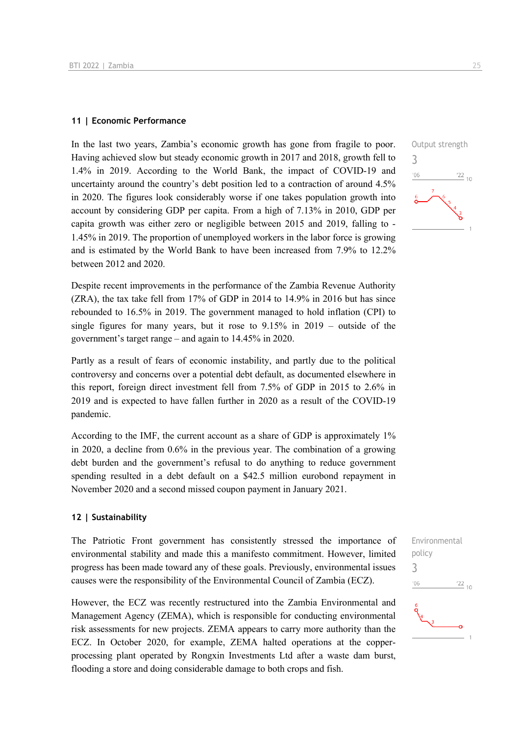#### **11 | Economic Performance**

In the last two years, Zambia's economic growth has gone from fragile to poor. Having achieved slow but steady economic growth in 2017 and 2018, growth fell to 1.4% in 2019. According to the World Bank, the impact of COVID-19 and uncertainty around the country's debt position led to a contraction of around 4.5% in 2020. The figures look considerably worse if one takes population growth into account by considering GDP per capita. From a high of 7.13% in 2010, GDP per capita growth was either zero or negligible between 2015 and 2019, falling to - 1.45% in 2019. The proportion of unemployed workers in the labor force is growing and is estimated by the World Bank to have been increased from 7.9% to 12.2% between 2012 and 2020.

Despite recent improvements in the performance of the Zambia Revenue Authority (ZRA), the tax take fell from 17% of GDP in 2014 to 14.9% in 2016 but has since rebounded to 16.5% in 2019. The government managed to hold inflation (CPI) to single figures for many years, but it rose to 9.15% in 2019 – outside of the government's target range – and again to 14.45% in 2020.

Partly as a result of fears of economic instability, and partly due to the political controversy and concerns over a potential debt default, as documented elsewhere in this report, foreign direct investment fell from 7.5% of GDP in 2015 to 2.6% in 2019 and is expected to have fallen further in 2020 as a result of the COVID-19 pandemic.

According to the IMF, the current account as a share of GDP is approximately 1% in 2020, a decline from 0.6% in the previous year. The combination of a growing debt burden and the government's refusal to do anything to reduce government spending resulted in a debt default on a \$42.5 million eurobond repayment in November 2020 and a second missed coupon payment in January 2021.

#### **12 | Sustainability**

The Patriotic Front government has consistently stressed the importance of environmental stability and made this a manifesto commitment. However, limited progress has been made toward any of these goals. Previously, environmental issues causes were the responsibility of the Environmental Council of Zambia (ECZ).

However, the ECZ was recently restructured into the Zambia Environmental and Management Agency (ZEMA), which is responsible for conducting environmental risk assessments for new projects. ZEMA appears to carry more authority than the ECZ. In October 2020, for example, ZEMA halted operations at the copperprocessing plant operated by Rongxin Investments Ltd after a waste dam burst, flooding a store and doing considerable damage to both crops and fish.



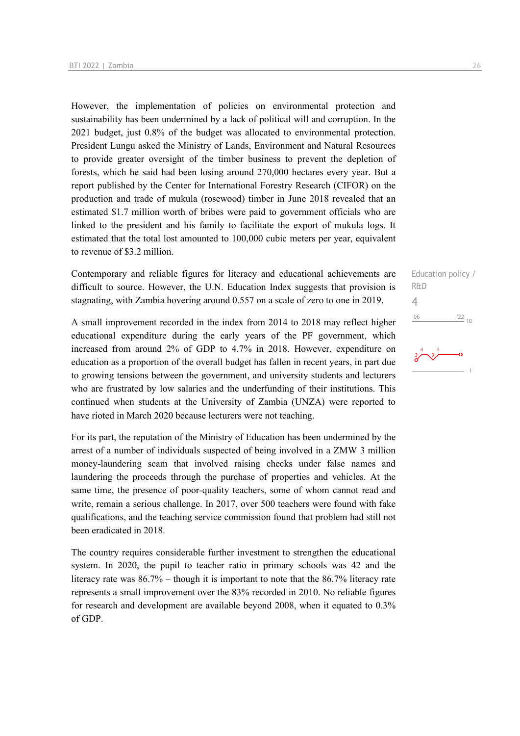However, the implementation of policies on environmental protection and sustainability has been undermined by a lack of political will and corruption. In the 2021 budget, just 0.8% of the budget was allocated to environmental protection. President Lungu asked the Ministry of Lands, Environment and Natural Resources to provide greater oversight of the timber business to prevent the depletion of forests, which he said had been losing around 270,000 hectares every year. But a report published by the Center for International Forestry Research (CIFOR) on the production and trade of mukula (rosewood) timber in June 2018 revealed that an estimated \$1.7 million worth of bribes were paid to government officials who are linked to the president and his family to facilitate the export of mukula logs. It estimated that the total lost amounted to 100,000 cubic meters per year, equivalent to revenue of \$3.2 million.

Contemporary and reliable figures for literacy and educational achievements are difficult to source. However, the U.N. Education Index suggests that provision is stagnating, with Zambia hovering around 0.557 on a scale of zero to one in 2019.

A small improvement recorded in the index from 2014 to 2018 may reflect higher educational expenditure during the early years of the PF government, which increased from around 2% of GDP to 4.7% in 2018. However, expenditure on education as a proportion of the overall budget has fallen in recent years, in part due to growing tensions between the government, and university students and lecturers who are frustrated by low salaries and the underfunding of their institutions. This continued when students at the University of Zambia (UNZA) were reported to have rioted in March 2020 because lecturers were not teaching.

For its part, the reputation of the Ministry of Education has been undermined by the arrest of a number of individuals suspected of being involved in a ZMW 3 million money-laundering scam that involved raising checks under false names and laundering the proceeds through the purchase of properties and vehicles. At the same time, the presence of poor-quality teachers, some of whom cannot read and write, remain a serious challenge. In 2017, over 500 teachers were found with fake qualifications, and the teaching service commission found that problem had still not been eradicated in 2018.

The country requires considerable further investment to strengthen the educational system. In 2020, the pupil to teacher ratio in primary schools was 42 and the literacy rate was 86.7% – though it is important to note that the 86.7% literacy rate represents a small improvement over the 83% recorded in 2010. No reliable figures for research and development are available beyond 2008, when it equated to 0.3% of GDP.

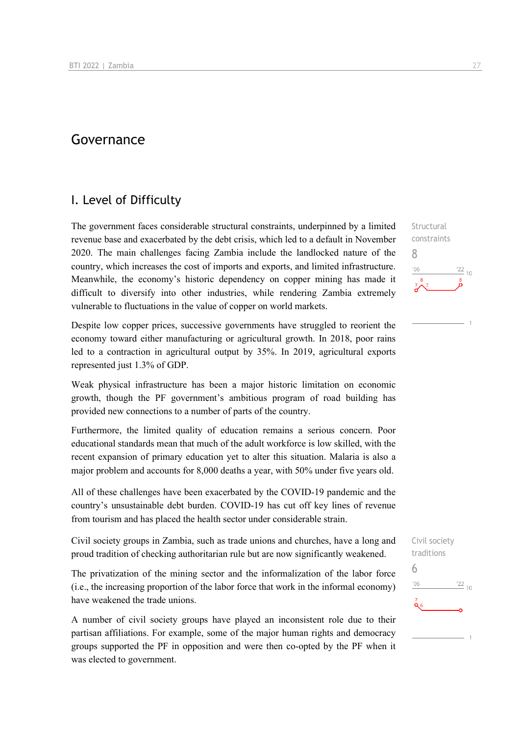## Governance

## I. Level of Difficulty

The government faces considerable structural constraints, underpinned by a limited revenue base and exacerbated by the debt crisis, which led to a default in November 2020. The main challenges facing Zambia include the landlocked nature of the country, which increases the cost of imports and exports, and limited infrastructure. Meanwhile, the economy's historic dependency on copper mining has made it difficult to diversify into other industries, while rendering Zambia extremely vulnerable to fluctuations in the value of copper on world markets.

Despite low copper prices, successive governments have struggled to reorient the economy toward either manufacturing or agricultural growth. In 2018, poor rains led to a contraction in agricultural output by 35%. In 2019, agricultural exports represented just 1.3% of GDP.

Weak physical infrastructure has been a major historic limitation on economic growth, though the PF government's ambitious program of road building has provided new connections to a number of parts of the country.

Furthermore, the limited quality of education remains a serious concern. Poor educational standards mean that much of the adult workforce is low skilled, with the recent expansion of primary education yet to alter this situation. Malaria is also a major problem and accounts for 8,000 deaths a year, with 50% under five years old.

All of these challenges have been exacerbated by the COVID-19 pandemic and the country's unsustainable debt burden. COVID-19 has cut off key lines of revenue from tourism and has placed the health sector under considerable strain.

Civil society groups in Zambia, such as trade unions and churches, have a long and proud tradition of checking authoritarian rule but are now significantly weakened.

The privatization of the mining sector and the informalization of the labor force (i.e., the increasing proportion of the labor force that work in the informal economy) have weakened the trade unions.

A number of civil society groups have played an inconsistent role due to their partisan affiliations. For example, some of the major human rights and democracy groups supported the PF in opposition and were then co-opted by the PF when it was elected to government.

**Structural** constraints 8  $\frac{22}{10}$  $-06$ 

Civil society traditions 6 $^{22}_{-10}$  $'06$ Áه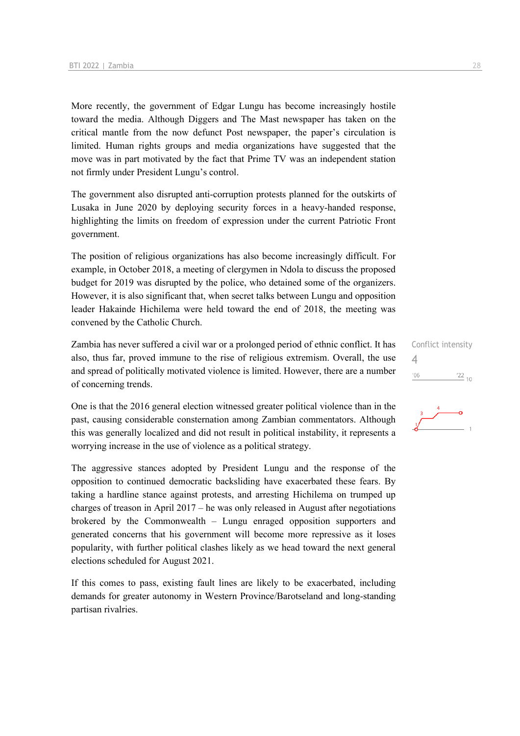More recently, the government of Edgar Lungu has become increasingly hostile toward the media. Although Diggers and The Mast newspaper has taken on the critical mantle from the now defunct Post newspaper, the paper's circulation is limited. Human rights groups and media organizations have suggested that the move was in part motivated by the fact that Prime TV was an independent station not firmly under President Lungu's control.

The government also disrupted anti-corruption protests planned for the outskirts of Lusaka in June 2020 by deploying security forces in a heavy-handed response, highlighting the limits on freedom of expression under the current Patriotic Front government.

The position of religious organizations has also become increasingly difficult. For example, in October 2018, a meeting of clergymen in Ndola to discuss the proposed budget for 2019 was disrupted by the police, who detained some of the organizers. However, it is also significant that, when secret talks between Lungu and opposition leader Hakainde Hichilema were held toward the end of 2018, the meeting was convened by the Catholic Church.

Zambia has never suffered a civil war or a prolonged period of ethnic conflict. It has also, thus far, proved immune to the rise of religious extremism. Overall, the use and spread of politically motivated violence is limited. However, there are a number of concerning trends.

One is that the 2016 general election witnessed greater political violence than in the past, causing considerable consternation among Zambian commentators. Although this was generally localized and did not result in political instability, it represents a worrying increase in the use of violence as a political strategy.

The aggressive stances adopted by President Lungu and the response of the opposition to continued democratic backsliding have exacerbated these fears. By taking a hardline stance against protests, and arresting Hichilema on trumped up charges of treason in April 2017 – he was only released in August after negotiations brokered by the Commonwealth – Lungu enraged opposition supporters and generated concerns that his government will become more repressive as it loses popularity, with further political clashes likely as we head toward the next general elections scheduled for August 2021.

If this comes to pass, existing fault lines are likely to be exacerbated, including demands for greater autonomy in Western Province/Barotseland and long-standing partisan rivalries.



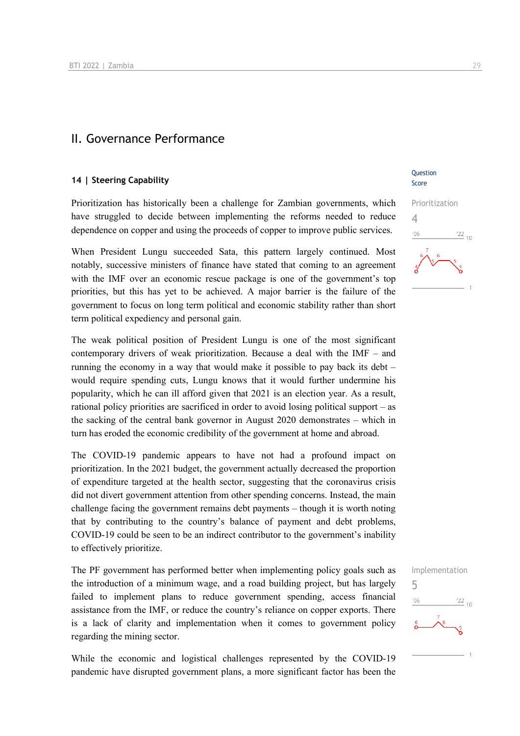### II. Governance Performance

#### **14 | Steering Capability**

Prioritization has historically been a challenge for Zambian governments, which have struggled to decide between implementing the reforms needed to reduce dependence on copper and using the proceeds of copper to improve public services.

When President Lungu succeeded Sata, this pattern largely continued. Most notably, successive ministers of finance have stated that coming to an agreement with the IMF over an economic rescue package is one of the government's top priorities, but this has yet to be achieved. A major barrier is the failure of the government to focus on long term political and economic stability rather than short term political expediency and personal gain.

The weak political position of President Lungu is one of the most significant contemporary drivers of weak prioritization. Because a deal with the IMF – and running the economy in a way that would make it possible to pay back its debt – would require spending cuts, Lungu knows that it would further undermine his popularity, which he can ill afford given that 2021 is an election year. As a result, rational policy priorities are sacrificed in order to avoid losing political support – as the sacking of the central bank governor in August 2020 demonstrates – which in turn has eroded the economic credibility of the government at home and abroad.

The COVID-19 pandemic appears to have not had a profound impact on prioritization. In the 2021 budget, the government actually decreased the proportion of expenditure targeted at the health sector, suggesting that the coronavirus crisis did not divert government attention from other spending concerns. Instead, the main challenge facing the government remains debt payments – though it is worth noting that by contributing to the country's balance of payment and debt problems, COVID-19 could be seen to be an indirect contributor to the government's inability to effectively prioritize.

The PF government has performed better when implementing policy goals such as the introduction of a minimum wage, and a road building project, but has largely failed to implement plans to reduce government spending, access financial assistance from the IMF, or reduce the country's reliance on copper exports. There is a lack of clarity and implementation when it comes to government policy regarding the mining sector.

While the economic and logistical challenges represented by the COVID-19 pandemic have disrupted government plans, a more significant factor has been the

**Ouestion** Score



5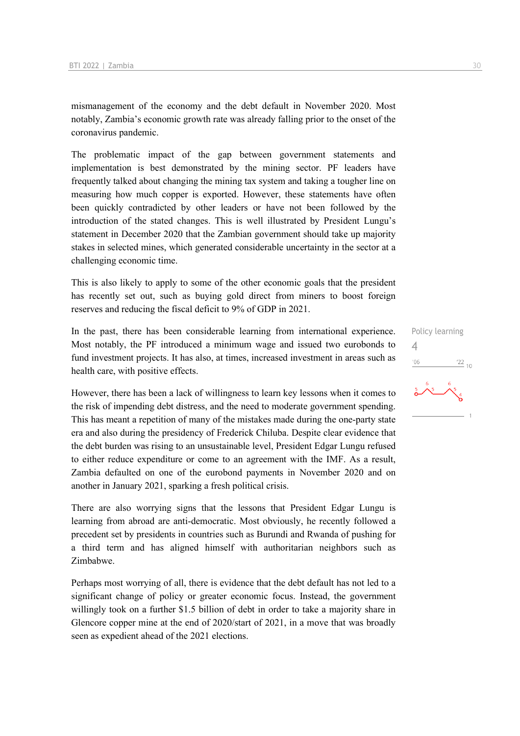mismanagement of the economy and the debt default in November 2020. Most notably, Zambia's economic growth rate was already falling prior to the onset of the coronavirus pandemic.

The problematic impact of the gap between government statements and implementation is best demonstrated by the mining sector. PF leaders have frequently talked about changing the mining tax system and taking a tougher line on measuring how much copper is exported. However, these statements have often been quickly contradicted by other leaders or have not been followed by the introduction of the stated changes. This is well illustrated by President Lungu's statement in December 2020 that the Zambian government should take up majority stakes in selected mines, which generated considerable uncertainty in the sector at a challenging economic time.

This is also likely to apply to some of the other economic goals that the president has recently set out, such as buying gold direct from miners to boost foreign reserves and reducing the fiscal deficit to 9% of GDP in 2021.

In the past, there has been considerable learning from international experience. Most notably, the PF introduced a minimum wage and issued two eurobonds to fund investment projects. It has also, at times, increased investment in areas such as health care, with positive effects.

However, there has been a lack of willingness to learn key lessons when it comes to the risk of impending debt distress, and the need to moderate government spending. This has meant a repetition of many of the mistakes made during the one-party state era and also during the presidency of Frederick Chiluba. Despite clear evidence that the debt burden was rising to an unsustainable level, President Edgar Lungu refused to either reduce expenditure or come to an agreement with the IMF. As a result, Zambia defaulted on one of the eurobond payments in November 2020 and on another in January 2021, sparking a fresh political crisis.

There are also worrying signs that the lessons that President Edgar Lungu is learning from abroad are anti-democratic. Most obviously, he recently followed a precedent set by presidents in countries such as Burundi and Rwanda of pushing for a third term and has aligned himself with authoritarian neighbors such as Zimbabwe.

Perhaps most worrying of all, there is evidence that the debt default has not led to a significant change of policy or greater economic focus. Instead, the government willingly took on a further \$1.5 billion of debt in order to take a majority share in Glencore copper mine at the end of 2020/start of 2021, in a move that was broadly seen as expedient ahead of the 2021 elections.

Policy learning 4 $\frac{22}{10}$  $106$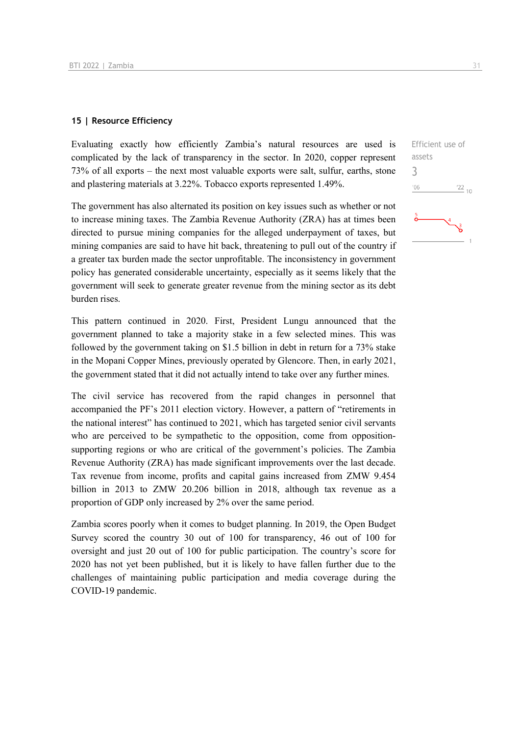#### **15 | Resource Efficiency**

Evaluating exactly how efficiently Zambia's natural resources are used is complicated by the lack of transparency in the sector. In 2020, copper represent 73% of all exports – the next most valuable exports were salt, sulfur, earths, stone and plastering materials at 3.22%. Tobacco exports represented 1.49%.

The government has also alternated its position on key issues such as whether or not to increase mining taxes. The Zambia Revenue Authority (ZRA) has at times been directed to pursue mining companies for the alleged underpayment of taxes, but mining companies are said to have hit back, threatening to pull out of the country if a greater tax burden made the sector unprofitable. The inconsistency in government policy has generated considerable uncertainty, especially as it seems likely that the government will seek to generate greater revenue from the mining sector as its debt burden rises.

This pattern continued in 2020. First, President Lungu announced that the government planned to take a majority stake in a few selected mines. This was followed by the government taking on \$1.5 billion in debt in return for a 73% stake in the Mopani Copper Mines, previously operated by Glencore. Then, in early 2021, the government stated that it did not actually intend to take over any further mines.

The civil service has recovered from the rapid changes in personnel that accompanied the PF's 2011 election victory. However, a pattern of "retirements in the national interest" has continued to 2021, which has targeted senior civil servants who are perceived to be sympathetic to the opposition, come from oppositionsupporting regions or who are critical of the government's policies. The Zambia Revenue Authority (ZRA) has made significant improvements over the last decade. Tax revenue from income, profits and capital gains increased from ZMW 9.454 billion in 2013 to ZMW 20.206 billion in 2018, although tax revenue as a proportion of GDP only increased by 2% over the same period.

Zambia scores poorly when it comes to budget planning. In 2019, the Open Budget Survey scored the country 30 out of 100 for transparency, 46 out of 100 for oversight and just 20 out of 100 for public participation. The country's score for 2020 has not yet been published, but it is likely to have fallen further due to the challenges of maintaining public participation and media coverage during the COVID-19 pandemic.

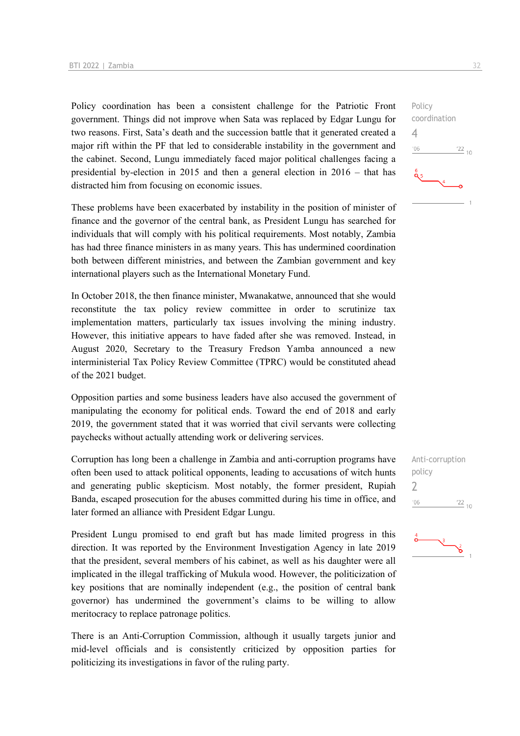Policy coordination has been a consistent challenge for the Patriotic Front government. Things did not improve when Sata was replaced by Edgar Lungu for two reasons. First, Sata's death and the succession battle that it generated created a major rift within the PF that led to considerable instability in the government and the cabinet. Second, Lungu immediately faced major political challenges facing a presidential by-election in 2015 and then a general election in 2016 – that has distracted him from focusing on economic issues.

These problems have been exacerbated by instability in the position of minister of finance and the governor of the central bank, as President Lungu has searched for individuals that will comply with his political requirements. Most notably, Zambia has had three finance ministers in as many years. This has undermined coordination both between different ministries, and between the Zambian government and key international players such as the International Monetary Fund.

In October 2018, the then finance minister, Mwanakatwe, announced that she would reconstitute the tax policy review committee in order to scrutinize tax implementation matters, particularly tax issues involving the mining industry. However, this initiative appears to have faded after she was removed. Instead, in August 2020, Secretary to the Treasury Fredson Yamba announced a new interministerial Tax Policy Review Committee (TPRC) would be constituted ahead of the 2021 budget.

Opposition parties and some business leaders have also accused the government of manipulating the economy for political ends. Toward the end of 2018 and early 2019, the government stated that it was worried that civil servants were collecting paychecks without actually attending work or delivering services.

Corruption has long been a challenge in Zambia and anti-corruption programs have often been used to attack political opponents, leading to accusations of witch hunts and generating public skepticism. Most notably, the former president, Rupiah Banda, escaped prosecution for the abuses committed during his time in office, and later formed an alliance with President Edgar Lungu.

President Lungu promised to end graft but has made limited progress in this direction. It was reported by the Environment Investigation Agency in late 2019 that the president, several members of his cabinet, as well as his daughter were all implicated in the illegal trafficking of Mukula wood. However, the politicization of key positions that are nominally independent (e.g., the position of central bank governor) has undermined the government's claims to be willing to allow meritocracy to replace patronage politics.

There is an Anti-Corruption Commission, although it usually targets junior and mid-level officials and is consistently criticized by opposition parties for politicizing its investigations in favor of the ruling party.





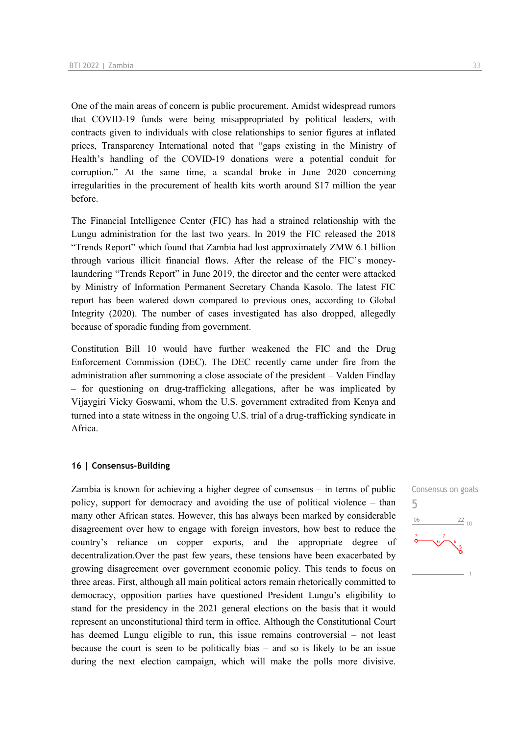One of the main areas of concern is public procurement. Amidst widespread rumors that COVID-19 funds were being misappropriated by political leaders, with contracts given to individuals with close relationships to senior figures at inflated prices, Transparency International noted that "gaps existing in the Ministry of Health's handling of the COVID-19 donations were a potential conduit for corruption." At the same time, a scandal broke in June 2020 concerning irregularities in the procurement of health kits worth around \$17 million the year before.

The Financial Intelligence Center (FIC) has had a strained relationship with the Lungu administration for the last two years. In 2019 the FIC released the 2018 "Trends Report" which found that Zambia had lost approximately ZMW 6.1 billion through various illicit financial flows. After the release of the FIC's moneylaundering "Trends Report" in June 2019, the director and the center were attacked by Ministry of Information Permanent Secretary Chanda Kasolo. The latest FIC report has been watered down compared to previous ones, according to Global Integrity (2020). The number of cases investigated has also dropped, allegedly because of sporadic funding from government.

Constitution Bill 10 would have further weakened the FIC and the Drug Enforcement Commission (DEC). The DEC recently came under fire from the administration after summoning a close associate of the president – Valden Findlay – for questioning on drug-trafficking allegations, after he was implicated by Vijaygiri Vicky Goswami, whom the U.S. government extradited from Kenya and turned into a state witness in the ongoing U.S. trial of a drug-trafficking syndicate in Africa.

#### **16 | Consensus-Building**

Zambia is known for achieving a higher degree of consensus – in terms of public policy, support for democracy and avoiding the use of political violence – than many other African states. However, this has always been marked by considerable disagreement over how to engage with foreign investors, how best to reduce the country's reliance on copper exports, and the appropriate degree of decentralization.Over the past few years, these tensions have been exacerbated by growing disagreement over government economic policy. This tends to focus on three areas. First, although all main political actors remain rhetorically committed to democracy, opposition parties have questioned President Lungu's eligibility to stand for the presidency in the 2021 general elections on the basis that it would represent an unconstitutional third term in office. Although the Constitutional Court has deemed Lungu eligible to run, this issue remains controversial – not least because the court is seen to be politically bias – and so is likely to be an issue during the next election campaign, which will make the polls more divisive.

Consensus on goals 5 $-06$  $\frac{22}{10}$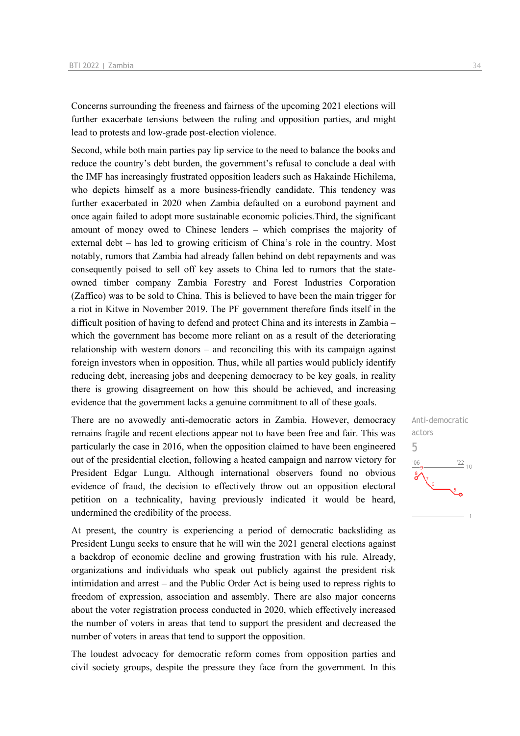Concerns surrounding the freeness and fairness of the upcoming 2021 elections will further exacerbate tensions between the ruling and opposition parties, and might lead to protests and low-grade post-election violence.

Second, while both main parties pay lip service to the need to balance the books and reduce the country's debt burden, the government's refusal to conclude a deal with the IMF has increasingly frustrated opposition leaders such as Hakainde Hichilema, who depicts himself as a more business-friendly candidate. This tendency was further exacerbated in 2020 when Zambia defaulted on a eurobond payment and once again failed to adopt more sustainable economic policies.Third, the significant amount of money owed to Chinese lenders – which comprises the majority of external debt – has led to growing criticism of China's role in the country. Most notably, rumors that Zambia had already fallen behind on debt repayments and was consequently poised to sell off key assets to China led to rumors that the stateowned timber company Zambia Forestry and Forest Industries Corporation (Zaffico) was to be sold to China. This is believed to have been the main trigger for a riot in Kitwe in November 2019. The PF government therefore finds itself in the difficult position of having to defend and protect China and its interests in Zambia – which the government has become more reliant on as a result of the deteriorating relationship with western donors – and reconciling this with its campaign against foreign investors when in opposition. Thus, while all parties would publicly identify reducing debt, increasing jobs and deepening democracy to be key goals, in reality there is growing disagreement on how this should be achieved, and increasing evidence that the government lacks a genuine commitment to all of these goals.

There are no avowedly anti-democratic actors in Zambia. However, democracy remains fragile and recent elections appear not to have been free and fair. This was particularly the case in 2016, when the opposition claimed to have been engineered out of the presidential election, following a heated campaign and narrow victory for President Edgar Lungu. Although international observers found no obvious evidence of fraud, the decision to effectively throw out an opposition electoral petition on a technicality, having previously indicated it would be heard, undermined the credibility of the process.

At present, the country is experiencing a period of democratic backsliding as President Lungu seeks to ensure that he will win the 2021 general elections against a backdrop of economic decline and growing frustration with his rule. Already, organizations and individuals who speak out publicly against the president risk intimidation and arrest – and the Public Order Act is being used to repress rights to freedom of expression, association and assembly. There are also major concerns about the voter registration process conducted in 2020, which effectively increased the number of voters in areas that tend to support the president and decreased the number of voters in areas that tend to support the opposition.

The loudest advocacy for democratic reform comes from opposition parties and civil society groups, despite the pressure they face from the government. In this

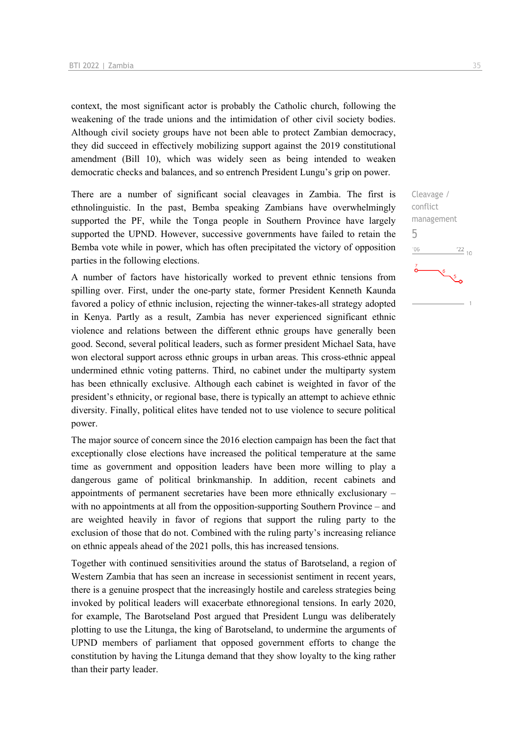context, the most significant actor is probably the Catholic church, following the weakening of the trade unions and the intimidation of other civil society bodies. Although civil society groups have not been able to protect Zambian democracy, they did succeed in effectively mobilizing support against the 2019 constitutional amendment (Bill 10), which was widely seen as being intended to weaken democratic checks and balances, and so entrench President Lungu's grip on power.

There are a number of significant social cleavages in Zambia. The first is ethnolinguistic. In the past, Bemba speaking Zambians have overwhelmingly supported the PF, while the Tonga people in Southern Province have largely supported the UPND. However, successive governments have failed to retain the Bemba vote while in power, which has often precipitated the victory of opposition parties in the following elections.

A number of factors have historically worked to prevent ethnic tensions from spilling over. First, under the one-party state, former President Kenneth Kaunda favored a policy of ethnic inclusion, rejecting the winner-takes-all strategy adopted in Kenya. Partly as a result, Zambia has never experienced significant ethnic violence and relations between the different ethnic groups have generally been good. Second, several political leaders, such as former president Michael Sata, have won electoral support across ethnic groups in urban areas. This cross-ethnic appeal undermined ethnic voting patterns. Third, no cabinet under the multiparty system has been ethnically exclusive. Although each cabinet is weighted in favor of the president's ethnicity, or regional base, there is typically an attempt to achieve ethnic diversity. Finally, political elites have tended not to use violence to secure political power.

The major source of concern since the 2016 election campaign has been the fact that exceptionally close elections have increased the political temperature at the same time as government and opposition leaders have been more willing to play a dangerous game of political brinkmanship. In addition, recent cabinets and appointments of permanent secretaries have been more ethnically exclusionary – with no appointments at all from the opposition-supporting Southern Province – and are weighted heavily in favor of regions that support the ruling party to the exclusion of those that do not. Combined with the ruling party's increasing reliance on ethnic appeals ahead of the 2021 polls, this has increased tensions.

Together with continued sensitivities around the status of Barotseland, a region of Western Zambia that has seen an increase in secessionist sentiment in recent years, there is a genuine prospect that the increasingly hostile and careless strategies being invoked by political leaders will exacerbate ethnoregional tensions. In early 2020, for example, The Barotseland Post argued that President Lungu was deliberately plotting to use the Litunga, the king of Barotseland, to undermine the arguments of UPND members of parliament that opposed government efforts to change the constitution by having the Litunga demand that they show loyalty to the king rather than their party leader.

Cleavage / conflict management

 $\frac{22}{10}$ 

5 $106$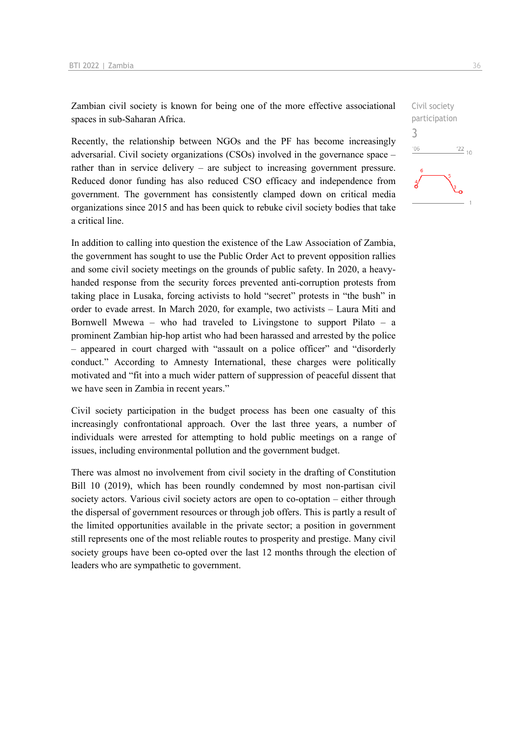Zambian civil society is known for being one of the more effective associational spaces in sub-Saharan Africa.

Recently, the relationship between NGOs and the PF has become increasingly adversarial. Civil society organizations (CSOs) involved in the governance space – rather than in service delivery – are subject to increasing government pressure. Reduced donor funding has also reduced CSO efficacy and independence from government. The government has consistently clamped down on critical media organizations since 2015 and has been quick to rebuke civil society bodies that take a critical line.

In addition to calling into question the existence of the Law Association of Zambia, the government has sought to use the Public Order Act to prevent opposition rallies and some civil society meetings on the grounds of public safety. In 2020, a heavyhanded response from the security forces prevented anti-corruption protests from taking place in Lusaka, forcing activists to hold "secret" protests in "the bush" in order to evade arrest. In March 2020, for example, two activists – Laura Miti and Bornwell Mwewa – who had traveled to Livingstone to support Pilato – a prominent Zambian hip-hop artist who had been harassed and arrested by the police – appeared in court charged with "assault on a police officer" and "disorderly conduct." According to Amnesty International, these charges were politically motivated and "fit into a much wider pattern of suppression of peaceful dissent that we have seen in Zambia in recent years."

Civil society participation in the budget process has been one casualty of this increasingly confrontational approach. Over the last three years, a number of individuals were arrested for attempting to hold public meetings on a range of issues, including environmental pollution and the government budget.

There was almost no involvement from civil society in the drafting of Constitution Bill 10 (2019), which has been roundly condemned by most non-partisan civil society actors. Various civil society actors are open to co-optation – either through the dispersal of government resources or through job offers. This is partly a result of the limited opportunities available in the private sector; a position in government still represents one of the most reliable routes to prosperity and prestige. Many civil society groups have been co-opted over the last 12 months through the election of leaders who are sympathetic to government.

Civil society participation 3 $-06$  $\frac{22}{10}$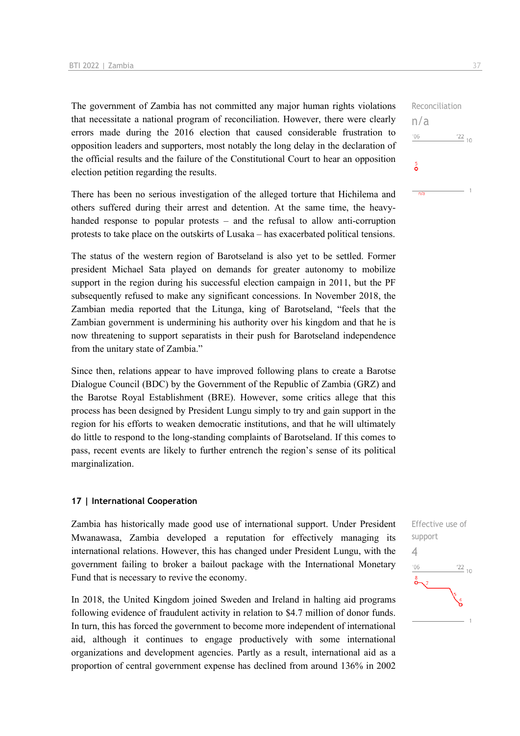The government of Zambia has not committed any major human rights violations that necessitate a national program of reconciliation. However, there were clearly errors made during the 2016 election that caused considerable frustration to opposition leaders and supporters, most notably the long delay in the declaration of the official results and the failure of the Constitutional Court to hear an opposition election petition regarding the results.

There has been no serious investigation of the alleged torture that Hichilema and others suffered during their arrest and detention. At the same time, the heavyhanded response to popular protests – and the refusal to allow anti-corruption protests to take place on the outskirts of Lusaka – has exacerbated political tensions.

The status of the western region of Barotseland is also yet to be settled. Former president Michael Sata played on demands for greater autonomy to mobilize support in the region during his successful election campaign in 2011, but the PF subsequently refused to make any significant concessions. In November 2018, the Zambian media reported that the Litunga, king of Barotseland, "feels that the Zambian government is undermining his authority over his kingdom and that he is now threatening to support separatists in their push for Barotseland independence from the unitary state of Zambia."

Since then, relations appear to have improved following plans to create a Barotse Dialogue Council (BDC) by the Government of the Republic of Zambia (GRZ) and the Barotse Royal Establishment (BRE). However, some critics allege that this process has been designed by President Lungu simply to try and gain support in the region for his efforts to weaken democratic institutions, and that he will ultimately do little to respond to the long-standing complaints of Barotseland. If this comes to pass, recent events are likely to further entrench the region's sense of its political marginalization.

#### **17 | International Cooperation**

Zambia has historically made good use of international support. Under President Mwanawasa, Zambia developed a reputation for effectively managing its international relations. However, this has changed under President Lungu, with the government failing to broker a bailout package with the International Monetary Fund that is necessary to revive the economy.

In 2018, the United Kingdom joined Sweden and Ireland in halting aid programs following evidence of fraudulent activity in relation to \$4.7 million of donor funds. In turn, this has forced the government to become more independent of international aid, although it continues to engage productively with some international organizations and development agencies. Partly as a result, international aid as a proportion of central government expense has declined from around 136% in 2002

Reconciliation n/a  $06'$  $^{22}$  10  $\frac{5}{\mathbf{O}}$ 

 $n/a$ 

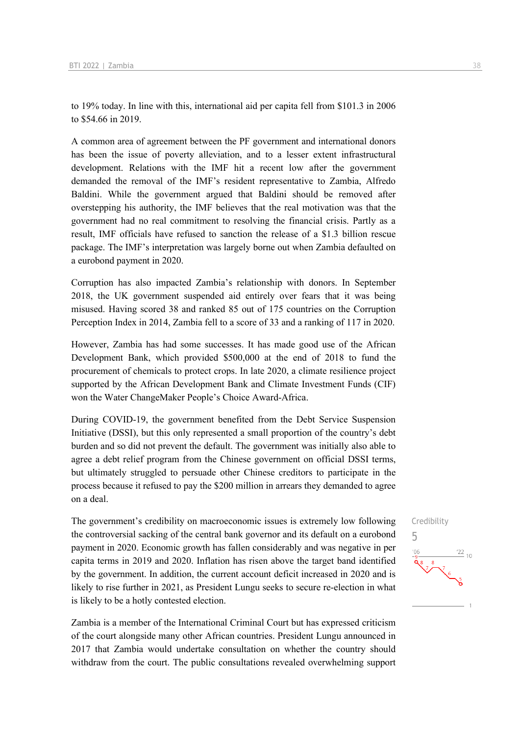to 19% today. In line with this, international aid per capita fell from \$101.3 in 2006 to \$54.66 in 2019.

A common area of agreement between the PF government and international donors has been the issue of poverty alleviation, and to a lesser extent infrastructural development. Relations with the IMF hit a recent low after the government demanded the removal of the IMF's resident representative to Zambia, Alfredo Baldini. While the government argued that Baldini should be removed after overstepping his authority, the IMF believes that the real motivation was that the government had no real commitment to resolving the financial crisis. Partly as a result, IMF officials have refused to sanction the release of a \$1.3 billion rescue package. The IMF's interpretation was largely borne out when Zambia defaulted on a eurobond payment in 2020.

Corruption has also impacted Zambia's relationship with donors. In September 2018, the UK government suspended aid entirely over fears that it was being misused. Having scored 38 and ranked 85 out of 175 countries on the Corruption Perception Index in 2014, Zambia fell to a score of 33 and a ranking of 117 in 2020.

However, Zambia has had some successes. It has made good use of the African Development Bank, which provided \$500,000 at the end of 2018 to fund the procurement of chemicals to protect crops. In late 2020, a climate resilience project supported by the African Development Bank and Climate Investment Funds (CIF) won the Water ChangeMaker People's Choice Award-Africa.

During COVID-19, the government benefited from the Debt Service Suspension Initiative (DSSI), but this only represented a small proportion of the country's debt burden and so did not prevent the default. The government was initially also able to agree a debt relief program from the Chinese government on official DSSI terms, but ultimately struggled to persuade other Chinese creditors to participate in the process because it refused to pay the \$200 million in arrears they demanded to agree on a deal.

The government's credibility on macroeconomic issues is extremely low following the controversial sacking of the central bank governor and its default on a eurobond payment in 2020. Economic growth has fallen considerably and was negative in per capita terms in 2019 and 2020. Inflation has risen above the target band identified by the government. In addition, the current account deficit increased in 2020 and is likely to rise further in 2021, as President Lungu seeks to secure re-election in what is likely to be a hotly contested election.

Zambia is a member of the International Criminal Court but has expressed criticism of the court alongside many other African countries. President Lungu announced in 2017 that Zambia would undertake consultation on whether the country should withdraw from the court. The public consultations revealed overwhelming support

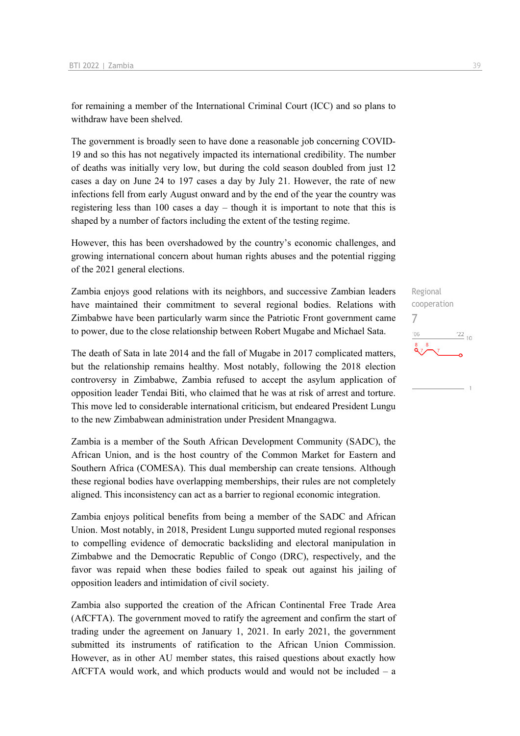for remaining a member of the International Criminal Court (ICC) and so plans to withdraw have been shelved.

The government is broadly seen to have done a reasonable job concerning COVID-19 and so this has not negatively impacted its international credibility. The number of deaths was initially very low, but during the cold season doubled from just 12 cases a day on June 24 to 197 cases a day by July 21. However, the rate of new infections fell from early August onward and by the end of the year the country was registering less than 100 cases a day – though it is important to note that this is shaped by a number of factors including the extent of the testing regime.

However, this has been overshadowed by the country's economic challenges, and growing international concern about human rights abuses and the potential rigging of the 2021 general elections.

Zambia enjoys good relations with its neighbors, and successive Zambian leaders have maintained their commitment to several regional bodies. Relations with Zimbabwe have been particularly warm since the Patriotic Front government came to power, due to the close relationship between Robert Mugabe and Michael Sata.

The death of Sata in late 2014 and the fall of Mugabe in 2017 complicated matters, but the relationship remains healthy. Most notably, following the 2018 election controversy in Zimbabwe, Zambia refused to accept the asylum application of opposition leader Tendai Biti, who claimed that he was at risk of arrest and torture. This move led to considerable international criticism, but endeared President Lungu to the new Zimbabwean administration under President Mnangagwa.

Zambia is a member of the South African Development Community (SADC), the African Union, and is the host country of the Common Market for Eastern and Southern Africa (COMESA). This dual membership can create tensions. Although these regional bodies have overlapping memberships, their rules are not completely aligned. This inconsistency can act as a barrier to regional economic integration.

Zambia enjoys political benefits from being a member of the SADC and African Union. Most notably, in 2018, President Lungu supported muted regional responses to compelling evidence of democratic backsliding and electoral manipulation in Zimbabwe and the Democratic Republic of Congo (DRC), respectively, and the favor was repaid when these bodies failed to speak out against his jailing of opposition leaders and intimidation of civil society.

Zambia also supported the creation of the African Continental Free Trade Area (AfCFTA). The government moved to ratify the agreement and confirm the start of trading under the agreement on January 1, 2021. In early 2021, the government submitted its instruments of ratification to the African Union Commission. However, as in other AU member states, this raised questions about exactly how AfCFTA would work, and which products would and would not be included – a

Regional cooperation 7 $^{\prime}06$  $\frac{22}{10}$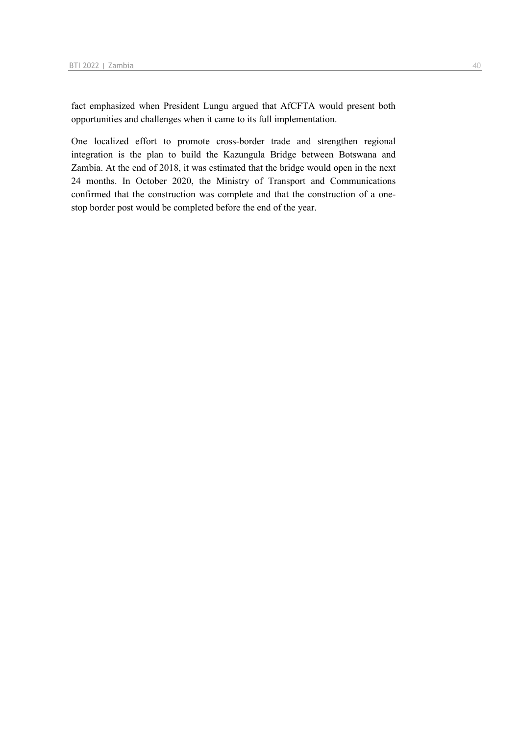fact emphasized when President Lungu argued that AfCFTA would present both opportunities and challenges when it came to its full implementation.

One localized effort to promote cross-border trade and strengthen regional integration is the plan to build the Kazungula Bridge between Botswana and Zambia. At the end of 2018, it was estimated that the bridge would open in the next 24 months. In October 2020, the Ministry of Transport and Communications confirmed that the construction was complete and that the construction of a onestop border post would be completed before the end of the year.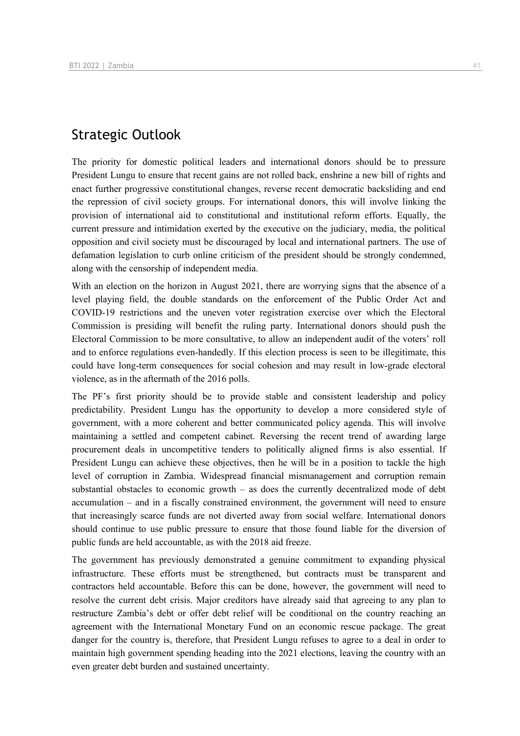## Strategic Outlook

The priority for domestic political leaders and international donors should be to pressure President Lungu to ensure that recent gains are not rolled back, enshrine a new bill of rights and enact further progressive constitutional changes, reverse recent democratic backsliding and end the repression of civil society groups. For international donors, this will involve linking the provision of international aid to constitutional and institutional reform efforts. Equally, the current pressure and intimidation exerted by the executive on the judiciary, media, the political opposition and civil society must be discouraged by local and international partners. The use of defamation legislation to curb online criticism of the president should be strongly condemned, along with the censorship of independent media.

With an election on the horizon in August 2021, there are worrying signs that the absence of a level playing field, the double standards on the enforcement of the Public Order Act and COVID-19 restrictions and the uneven voter registration exercise over which the Electoral Commission is presiding will benefit the ruling party. International donors should push the Electoral Commission to be more consultative, to allow an independent audit of the voters' roll and to enforce regulations even-handedly. If this election process is seen to be illegitimate, this could have long-term consequences for social cohesion and may result in low-grade electoral violence, as in the aftermath of the 2016 polls.

The PF's first priority should be to provide stable and consistent leadership and policy predictability. President Lungu has the opportunity to develop a more considered style of government, with a more coherent and better communicated policy agenda. This will involve maintaining a settled and competent cabinet. Reversing the recent trend of awarding large procurement deals in uncompetitive tenders to politically aligned firms is also essential. If President Lungu can achieve these objectives, then he will be in a position to tackle the high level of corruption in Zambia. Widespread financial mismanagement and corruption remain substantial obstacles to economic growth – as does the currently decentralized mode of debt accumulation – and in a fiscally constrained environment, the government will need to ensure that increasingly scarce funds are not diverted away from social welfare. International donors should continue to use public pressure to ensure that those found liable for the diversion of public funds are held accountable, as with the 2018 aid freeze.

The government has previously demonstrated a genuine commitment to expanding physical infrastructure. These efforts must be strengthened, but contracts must be transparent and contractors held accountable. Before this can be done, however, the government will need to resolve the current debt crisis. Major creditors have already said that agreeing to any plan to restructure Zambia's debt or offer debt relief will be conditional on the country reaching an agreement with the International Monetary Fund on an economic rescue package. The great danger for the country is, therefore, that President Lungu refuses to agree to a deal in order to maintain high government spending heading into the 2021 elections, leaving the country with an even greater debt burden and sustained uncertainty.